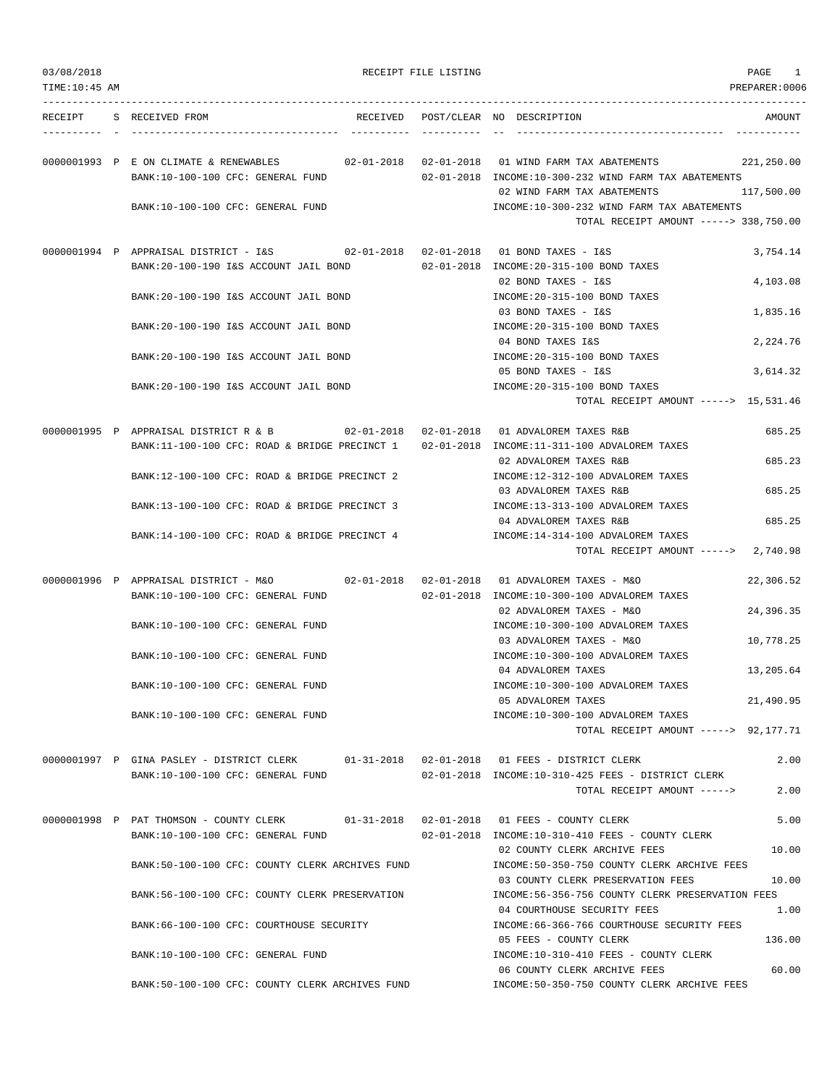| 03/08/2018    |                                                                                                                                     | RECEIPT FILE LISTING |                                                                                                              | PAGE<br>1     |
|---------------|-------------------------------------------------------------------------------------------------------------------------------------|----------------------|--------------------------------------------------------------------------------------------------------------|---------------|
| TIME:10:45 AM |                                                                                                                                     |                      |                                                                                                              | PREPARER:0006 |
| RECEIPT       | S RECEIVED FROM                                                                                                                     |                      | RECEIVED POST/CLEAR NO DESCRIPTION                                                                           | AMOUNT        |
|               | 0000001993 P E ON CLIMATE & RENEWABLES<br>BANK:10-100-100 CFC: GENERAL FUND                                                         |                      | 02-01-2018  02-01-2018  01 WIND FARM TAX ABATEMENTS<br>02-01-2018 INCOME:10-300-232 WIND FARM TAX ABATEMENTS | 221,250.00    |
|               | BANK:10-100-100 CFC: GENERAL FUND                                                                                                   |                      | 02 WIND FARM TAX ABATEMENTS<br>INCOME:10-300-232 WIND FARM TAX ABATEMENTS                                    | 117,500.00    |
|               |                                                                                                                                     |                      | TOTAL RECEIPT AMOUNT -----> 338,750.00                                                                       |               |
|               | BANK:20-100-190 I&S ACCOUNT JAIL BOND                                                                                               |                      | 02-01-2018 INCOME: 20-315-100 BOND TAXES                                                                     | 3,754.14      |
|               | BANK:20-100-190 I&S ACCOUNT JAIL BOND                                                                                               |                      | 02 BOND TAXES - I&S<br>INCOME: 20-315-100 BOND TAXES                                                         | 4,103.08      |
|               | BANK: 20-100-190 I&S ACCOUNT JAIL BOND                                                                                              |                      | 03 BOND TAXES - I&S<br>INCOME: 20-315-100 BOND TAXES                                                         | 1,835.16      |
|               | BANK: 20-100-190 I&S ACCOUNT JAIL BOND                                                                                              |                      | 04 BOND TAXES I&S<br>INCOME: 20-315-100 BOND TAXES                                                           | 2,224.76      |
|               | BANK: 20-100-190 I&S ACCOUNT JAIL BOND                                                                                              |                      | 05 BOND TAXES - I&S<br>INCOME: 20-315-100 BOND TAXES                                                         | 3,614.32      |
|               |                                                                                                                                     |                      | TOTAL RECEIPT AMOUNT -----> 15,531.46                                                                        |               |
|               | 0000001995 P APPRAISAL DISTRICT R & B 02-01-2018 02-01-2018 01 ADVALOREM TAXES R&B<br>BANK:11-100-100 CFC: ROAD & BRIDGE PRECINCT 1 |                      | 02-01-2018 INCOME:11-311-100 ADVALOREM TAXES                                                                 | 685.25        |
|               | BANK:12-100-100 CFC: ROAD & BRIDGE PRECINCT 2                                                                                       |                      | 02 ADVALOREM TAXES R&B<br>INCOME:12-312-100 ADVALOREM TAXES                                                  | 685.23        |
|               | BANK:13-100-100 CFC: ROAD & BRIDGE PRECINCT 3                                                                                       |                      | 03 ADVALOREM TAXES R&B<br>INCOME:13-313-100 ADVALOREM TAXES                                                  | 685.25        |
|               | BANK:14-100-100 CFC: ROAD & BRIDGE PRECINCT 4                                                                                       |                      | 04 ADVALOREM TAXES R&B<br>INCOME:14-314-100 ADVALOREM TAXES                                                  | 685.25        |
|               |                                                                                                                                     |                      | TOTAL RECEIPT AMOUNT -----> 2,740.98                                                                         |               |
|               | BANK:10-100-100 CFC: GENERAL FUND                                                                                                   |                      | 02-01-2018 INCOME:10-300-100 ADVALOREM TAXES                                                                 | 22,306.52     |
|               | BANK:10-100-100 CFC: GENERAL FUND                                                                                                   |                      | 02 ADVALOREM TAXES - M&O<br>INCOME:10-300-100 ADVALOREM TAXES                                                | 24,396.35     |
|               | BANK:10-100-100 CFC: GENERAL FUND                                                                                                   |                      | 03 ADVALOREM TAXES - M&O<br>INCOME:10-300-100 ADVALOREM TAXES                                                | 10,778.25     |
|               | BANK:10-100-100 CFC: GENERAL FUND                                                                                                   |                      | 04 ADVALOREM TAXES<br>INCOME:10-300-100 ADVALOREM TAXES                                                      | 13,205.64     |
|               | BANK:10-100-100 CFC: GENERAL FUND                                                                                                   |                      | 05 ADVALOREM TAXES<br>INCOME:10-300-100 ADVALOREM TAXES<br>TOTAL RECEIPT AMOUNT -----> 92,177.71             | 21,490.95     |
|               |                                                                                                                                     |                      |                                                                                                              | 2.00          |
|               | 0000001997 P GINA PASLEY - DISTRICT CLERK<br>BANK:10-100-100 CFC: GENERAL FUND                                                      |                      | 02-01-2018 INCOME:10-310-425 FEES - DISTRICT CLERK<br>TOTAL RECEIPT AMOUNT ----->                            | 2.00          |
|               | 0000001998 P PAT THOMSON - COUNTY CLERK 01-31-2018 02-01-2018 01 FEES - COUNTY CLERK                                                |                      |                                                                                                              | 5.00          |
|               | BANK:10-100-100 CFC: GENERAL FUND                                                                                                   |                      | 02-01-2018 INCOME:10-310-410 FEES - COUNTY CLERK<br>02 COUNTY CLERK ARCHIVE FEES                             | 10.00         |
|               | BANK:50-100-100 CFC: COUNTY CLERK ARCHIVES FUND                                                                                     |                      | INCOME:50-350-750 COUNTY CLERK ARCHIVE FEES<br>03 COUNTY CLERK PRESERVATION FEES                             | 10.00         |
|               | BANK:56-100-100 CFC: COUNTY CLERK PRESERVATION                                                                                      |                      | INCOME:56-356-756 COUNTY CLERK PRESERVATION FEES<br>04 COURTHOUSE SECURITY FEES                              | 1.00          |
|               | BANK:66-100-100 CFC: COURTHOUSE SECURITY                                                                                            |                      | INCOME: 66-366-766 COURTHOUSE SECURITY FEES<br>05 FEES - COUNTY CLERK                                        | 136.00        |
|               | BANK:10-100-100 CFC: GENERAL FUND                                                                                                   |                      | INCOME:10-310-410 FEES - COUNTY CLERK<br>06 COUNTY CLERK ARCHIVE FEES                                        | 60.00         |
|               | BANK:50-100-100 CFC: COUNTY CLERK ARCHIVES FUND                                                                                     |                      | INCOME:50-350-750 COUNTY CLERK ARCHIVE FEES                                                                  |               |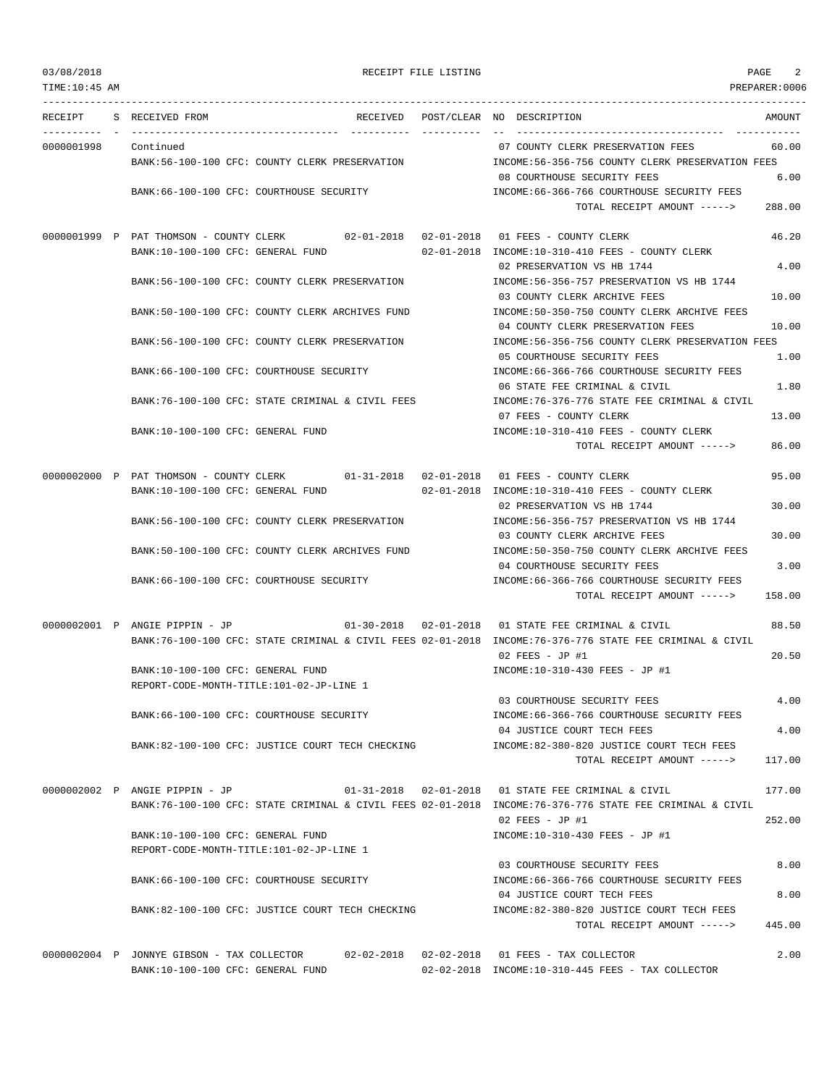| TIME: 10:45 AM |                                                  |  |          |            |                                                                                                          | PREPARER:0006 |
|----------------|--------------------------------------------------|--|----------|------------|----------------------------------------------------------------------------------------------------------|---------------|
| RECEIPT        | S RECEIVED FROM                                  |  | RECEIVED |            | POST/CLEAR NO DESCRIPTION                                                                                | AMOUNT        |
|                |                                                  |  |          | ---------- |                                                                                                          |               |
| 0000001998     | Continued                                        |  |          |            | 07 COUNTY CLERK PRESERVATION FEES                                                                        | 60.00         |
|                | BANK:56-100-100 CFC: COUNTY CLERK PRESERVATION   |  |          |            | INCOME:56-356-756 COUNTY CLERK PRESERVATION FEES<br>08 COURTHOUSE SECURITY FEES                          | 6.00          |
|                | BANK: 66-100-100 CFC: COURTHOUSE SECURITY        |  |          |            | INCOME: 66-366-766 COURTHOUSE SECURITY FEES                                                              |               |
|                |                                                  |  |          |            | TOTAL RECEIPT AMOUNT ----->                                                                              | 288.00        |
|                |                                                  |  |          |            |                                                                                                          |               |
|                | 0000001999 P PAT THOMSON - COUNTY CLERK          |  |          |            | 02-01-2018  02-01-2018  01 FEES - COUNTY CLERK                                                           | 46.20         |
|                | BANK:10-100-100 CFC: GENERAL FUND                |  |          |            | 02-01-2018 INCOME:10-310-410 FEES - COUNTY CLERK                                                         |               |
|                |                                                  |  |          |            | 02 PRESERVATION VS HB 1744                                                                               | 4.00          |
|                | BANK:56-100-100 CFC: COUNTY CLERK PRESERVATION   |  |          |            | INCOME:56-356-757 PRESERVATION VS HB 1744                                                                |               |
|                |                                                  |  |          |            | 03 COUNTY CLERK ARCHIVE FEES                                                                             | 10.00         |
|                | BANK:50-100-100 CFC: COUNTY CLERK ARCHIVES FUND  |  |          |            | INCOME:50-350-750 COUNTY CLERK ARCHIVE FEES                                                              |               |
|                |                                                  |  |          |            | 04 COUNTY CLERK PRESERVATION FEES                                                                        | 10.00         |
|                | BANK:56-100-100 CFC: COUNTY CLERK PRESERVATION   |  |          |            | INCOME: 56-356-756 COUNTY CLERK PRESERVATION FEES                                                        |               |
|                |                                                  |  |          |            | 05 COURTHOUSE SECURITY FEES                                                                              | 1.00          |
|                | BANK: 66-100-100 CFC: COURTHOUSE SECURITY        |  |          |            | INCOME: 66-366-766 COURTHOUSE SECURITY FEES                                                              |               |
|                |                                                  |  |          |            | 06 STATE FEE CRIMINAL & CIVIL                                                                            | 1.80          |
|                | BANK:76-100-100 CFC: STATE CRIMINAL & CIVIL FEES |  |          |            | INCOME:76-376-776 STATE FEE CRIMINAL & CIVIL                                                             |               |
|                |                                                  |  |          |            | 07 FEES - COUNTY CLERK                                                                                   | 13.00         |
|                | BANK:10-100-100 CFC: GENERAL FUND                |  |          |            | INCOME:10-310-410 FEES - COUNTY CLERK                                                                    |               |
|                |                                                  |  |          |            | TOTAL RECEIPT AMOUNT ----->                                                                              | 86.00         |
|                | 0000002000 P PAT THOMSON - COUNTY CLERK          |  |          |            |                                                                                                          | 95.00         |
|                | BANK:10-100-100 CFC: GENERAL FUND                |  |          |            | 02-01-2018 INCOME:10-310-410 FEES - COUNTY CLERK                                                         |               |
|                |                                                  |  |          |            | 02 PRESERVATION VS HB 1744                                                                               | 30.00         |
|                | BANK:56-100-100 CFC: COUNTY CLERK PRESERVATION   |  |          |            | INCOME: 56-356-757 PRESERVATION VS HB 1744                                                               |               |
|                |                                                  |  |          |            | 03 COUNTY CLERK ARCHIVE FEES                                                                             | 30.00         |
|                | BANK:50-100-100 CFC: COUNTY CLERK ARCHIVES FUND  |  |          |            | INCOME: 50-350-750 COUNTY CLERK ARCHIVE FEES                                                             |               |
|                |                                                  |  |          |            | 04 COURTHOUSE SECURITY FEES                                                                              | 3.00          |
|                | BANK:66-100-100 CFC: COURTHOUSE SECURITY         |  |          |            | INCOME: 66-366-766 COURTHOUSE SECURITY FEES                                                              |               |
|                |                                                  |  |          |            | TOTAL RECEIPT AMOUNT ----->                                                                              | 158.00        |
|                |                                                  |  |          |            |                                                                                                          |               |
|                | 0000002001 P ANGIE PIPPIN - JP                   |  |          |            | $01-30-2018$ $02-01-2018$ 01 STATE FEE CRIMINAL & CIVIL                                                  | 88.50         |
|                |                                                  |  |          |            | BANK:76-100-100 CFC: STATE CRIMINAL & CIVIL FEES 02-01-2018 INCOME:76-376-776 STATE FEE CRIMINAL & CIVIL |               |
|                |                                                  |  |          |            | 02 FEES - JP #1                                                                                          | 20.50         |
|                | BANK:10-100-100 CFC: GENERAL FUND                |  |          |            | INCOME:10-310-430 FEES - JP #1                                                                           |               |
|                | REPORT-CODE-MONTH-TITLE:101-02-JP-LINE 1         |  |          |            |                                                                                                          |               |
|                | BANK: 66-100-100 CFC: COURTHOUSE SECURITY        |  |          |            | 03 COURTHOUSE SECURITY FEES                                                                              | 4.00          |
|                |                                                  |  |          |            | INCOME: 66-366-766 COURTHOUSE SECURITY FEES<br>04 JUSTICE COURT TECH FEES                                | 4.00          |
|                | BANK:82-100-100 CFC: JUSTICE COURT TECH CHECKING |  |          |            | INCOME:82-380-820 JUSTICE COURT TECH FEES                                                                |               |
|                |                                                  |  |          |            | TOTAL RECEIPT AMOUNT ----->                                                                              | 117.00        |
|                |                                                  |  |          |            |                                                                                                          |               |
|                | 0000002002 P ANGIE PIPPIN - JP                   |  |          |            | 01-31-2018  02-01-2018  01 STATE FEE CRIMINAL & CIVIL                                                    | 177.00        |
|                |                                                  |  |          |            | BANK:76-100-100 CFC: STATE CRIMINAL & CIVIL FEES 02-01-2018 INCOME:76-376-776 STATE FEE CRIMINAL & CIVIL |               |
|                |                                                  |  |          |            | 02 FEES - JP #1                                                                                          | 252.00        |
|                | BANK:10-100-100 CFC: GENERAL FUND                |  |          |            | INCOME:10-310-430 FEES - JP #1                                                                           |               |
|                | REPORT-CODE-MONTH-TITLE:101-02-JP-LINE 1         |  |          |            |                                                                                                          |               |
|                |                                                  |  |          |            | 03 COURTHOUSE SECURITY FEES                                                                              | 8.00          |
|                | BANK:66-100-100 CFC: COURTHOUSE SECURITY         |  |          |            | INCOME: 66-366-766 COURTHOUSE SECURITY FEES                                                              |               |
|                |                                                  |  |          |            | 04 JUSTICE COURT TECH FEES                                                                               | 8.00          |
|                | BANK:82-100-100 CFC: JUSTICE COURT TECH CHECKING |  |          |            | INCOME:82-380-820 JUSTICE COURT TECH FEES                                                                |               |
|                |                                                  |  |          |            | TOTAL RECEIPT AMOUNT ----->                                                                              | 445.00        |
|                |                                                  |  |          |            | 0000002004 P JONNYE GIBSON - TAX COLLECTOR 02-02-2018 02-02-2018 01 FEES - TAX COLLECTOR                 | 2.00          |
|                |                                                  |  |          |            |                                                                                                          |               |

BANK:10-100-100 CFC: GENERAL FUND 02-02-2018 INCOME:10-310-445 FEES - TAX COLLECTOR

# 03/08/2018 RECEIPT FILE LISTING PAGE 2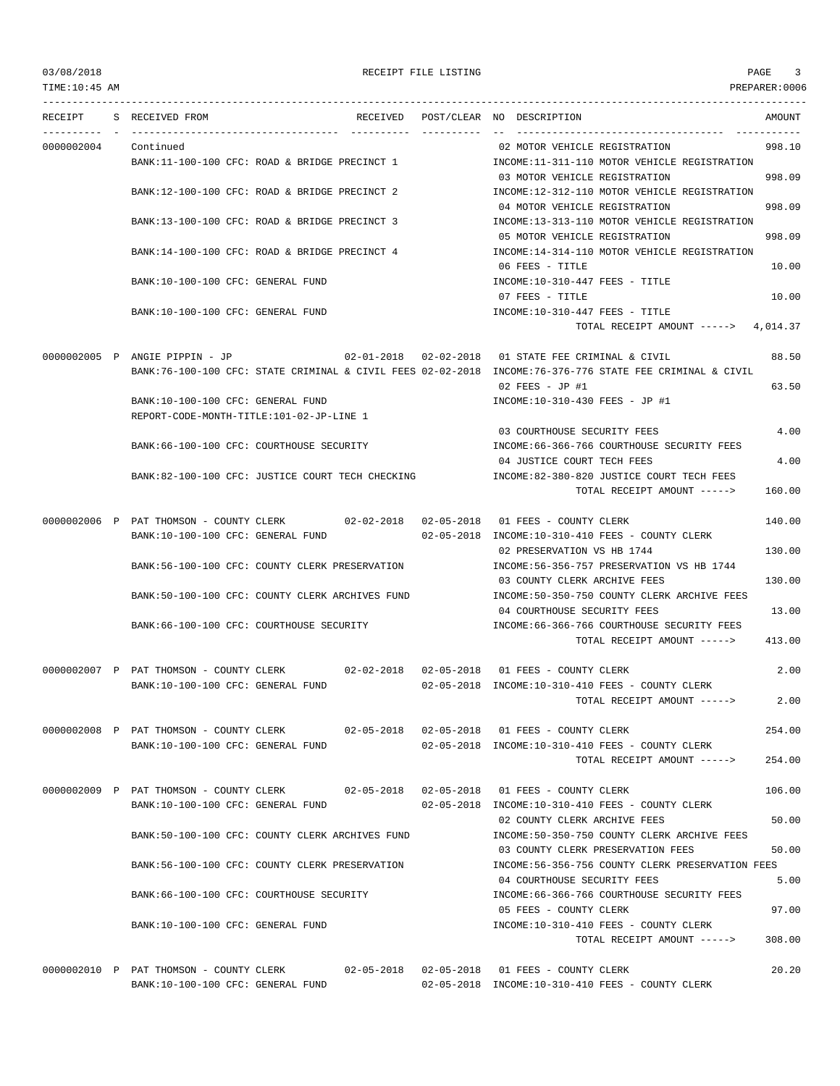| 03/08/2018      |                                                                               |  | RECEIPT FILE LISTING |                                                                                                                                                                     | PAGE<br>3     |
|-----------------|-------------------------------------------------------------------------------|--|----------------------|---------------------------------------------------------------------------------------------------------------------------------------------------------------------|---------------|
| TIME: 10: 45 AM |                                                                               |  |                      |                                                                                                                                                                     | PREPARER:0006 |
|                 | RECEIPT S RECEIVED FROM                                                       |  |                      | RECEIVED POST/CLEAR NO DESCRIPTION                                                                                                                                  | AMOUNT        |
| 0000002004      | Continued                                                                     |  |                      | 02 MOTOR VEHICLE REGISTRATION                                                                                                                                       | 998.10        |
|                 | BANK:11-100-100 CFC: ROAD & BRIDGE PRECINCT 1                                 |  |                      | INCOME:11-311-110 MOTOR VEHICLE REGISTRATION<br>03 MOTOR VEHICLE REGISTRATION                                                                                       | 998.09        |
|                 | BANK:12-100-100 CFC: ROAD & BRIDGE PRECINCT 2                                 |  |                      | INCOME:12-312-110 MOTOR VEHICLE REGISTRATION<br>04 MOTOR VEHICLE REGISTRATION                                                                                       | 998.09        |
|                 | BANK:13-100-100 CFC: ROAD & BRIDGE PRECINCT 3                                 |  |                      | INCOME:13-313-110 MOTOR VEHICLE REGISTRATION<br>05 MOTOR VEHICLE REGISTRATION                                                                                       | 998.09        |
|                 | BANK:14-100-100 CFC: ROAD & BRIDGE PRECINCT 4                                 |  |                      | INCOME:14-314-110 MOTOR VEHICLE REGISTRATION<br>06 FEES - TITLE                                                                                                     | 10.00         |
|                 | BANK:10-100-100 CFC: GENERAL FUND                                             |  |                      | INCOME:10-310-447 FEES - TITLE<br>07 FEES - TITLE                                                                                                                   | 10.00         |
|                 | BANK:10-100-100 CFC: GENERAL FUND                                             |  |                      | INCOME:10-310-447 FEES - TITLE                                                                                                                                      |               |
|                 |                                                                               |  |                      | TOTAL RECEIPT AMOUNT $--- 2$ 4,014.37                                                                                                                               |               |
|                 |                                                                               |  |                      |                                                                                                                                                                     |               |
|                 | 0000002005 P ANGIE PIPPIN - JP                                                |  |                      | $02-01-2018$ $02-02-2018$ 01 STATE FEE CRIMINAL & CIVIL<br>BANK:76-100-100 CFC: STATE CRIMINAL & CIVIL FEES 02-02-2018 INCOME:76-376-776 STATE FEE CRIMINAL & CIVIL | 88.50         |
|                 |                                                                               |  |                      | 02 FEES - JP #1                                                                                                                                                     | 63.50         |
|                 | BANK:10-100-100 CFC: GENERAL FUND<br>REPORT-CODE-MONTH-TITLE:101-02-JP-LINE 1 |  |                      | INCOME:10-310-430 FEES - JP #1                                                                                                                                      |               |
|                 |                                                                               |  |                      | 03 COURTHOUSE SECURITY FEES                                                                                                                                         | 4.00          |
|                 | BANK:66-100-100 CFC: COURTHOUSE SECURITY                                      |  |                      | INCOME: 66-366-766 COURTHOUSE SECURITY FEES                                                                                                                         |               |
|                 |                                                                               |  |                      | 04 JUSTICE COURT TECH FEES                                                                                                                                          | 4.00          |
|                 | BANK:82-100-100 CFC: JUSTICE COURT TECH CHECKING                              |  |                      | INCOME:82-380-820 JUSTICE COURT TECH FEES<br>TOTAL RECEIPT AMOUNT ----->                                                                                            | 160.00        |
|                 |                                                                               |  |                      |                                                                                                                                                                     |               |
|                 | BANK:10-100-100 CFC: GENERAL FUND                                             |  |                      | 0000002006 P PAT THOMSON - COUNTY CLERK 02-02-2018 02-05-2018 01 FEES - COUNTY CLERK<br>$02-05-2018$ INCOME:10-310-410 FEES - COUNTY CLERK                          | 140.00        |
|                 |                                                                               |  |                      | 02 PRESERVATION VS HB 1744                                                                                                                                          | 130.00        |
|                 | BANK:56-100-100 CFC: COUNTY CLERK PRESERVATION                                |  |                      | INCOME: 56-356-757 PRESERVATION VS HB 1744                                                                                                                          |               |
|                 |                                                                               |  |                      | 03 COUNTY CLERK ARCHIVE FEES                                                                                                                                        | 130.00        |
|                 | BANK:50-100-100 CFC: COUNTY CLERK ARCHIVES FUND                               |  |                      | INCOME:50-350-750 COUNTY CLERK ARCHIVE FEES                                                                                                                         |               |
|                 | BANK: 66-100-100 CFC: COURTHOUSE SECURITY                                     |  |                      | 04 COURTHOUSE SECURITY FEES                                                                                                                                         | 13.00         |
|                 |                                                                               |  |                      | INCOME:66-366-766 COURTHOUSE SECURITY FEES<br>TOTAL RECEIPT AMOUNT ----->                                                                                           | 413.00        |
|                 |                                                                               |  |                      | 0000002007 P PAT THOMSON - COUNTY CLERK 02-02-2018 02-05-2018 01 FEES - COUNTY CLERK                                                                                | 2.00          |
|                 | BANK:10-100-100 CFC: GENERAL FUND                                             |  |                      | 02-05-2018 INCOME:10-310-410 FEES - COUNTY CLERK                                                                                                                    |               |
|                 |                                                                               |  |                      | TOTAL RECEIPT AMOUNT ----->                                                                                                                                         | 2.00          |
|                 |                                                                               |  |                      | 0000002008 P PAT THOMSON - COUNTY CLERK 02-05-2018 02-05-2018 01 FEES - COUNTY CLERK                                                                                | 254.00        |
|                 | BANK:10-100-100 CFC: GENERAL FUND                                             |  |                      | 02-05-2018 INCOME:10-310-410 FEES - COUNTY CLERK                                                                                                                    |               |
|                 |                                                                               |  |                      | TOTAL RECEIPT AMOUNT ----->                                                                                                                                         | 254.00        |
|                 | BANK:10-100-100 CFC: GENERAL FUND                                             |  |                      | 0000002009 P PAT THOMSON - COUNTY CLERK 02-05-2018 02-05-2018 01 FEES - COUNTY CLERK<br>02-05-2018 INCOME:10-310-410 FEES - COUNTY CLERK                            | 106.00        |
|                 |                                                                               |  |                      | 02 COUNTY CLERK ARCHIVE FEES                                                                                                                                        | 50.00         |
|                 | BANK:50-100-100 CFC: COUNTY CLERK ARCHIVES FUND                               |  |                      | INCOME:50-350-750 COUNTY CLERK ARCHIVE FEES                                                                                                                         |               |
|                 |                                                                               |  |                      | 03 COUNTY CLERK PRESERVATION FEES                                                                                                                                   | 50.00         |
|                 | BANK:56-100-100 CFC: COUNTY CLERK PRESERVATION                                |  |                      | INCOME:56-356-756 COUNTY CLERK PRESERVATION FEES<br>04 COURTHOUSE SECURITY FEES                                                                                     | 5.00          |
|                 | BANK:66-100-100 CFC: COURTHOUSE SECURITY                                      |  |                      | INCOME: 66-366-766 COURTHOUSE SECURITY FEES<br>05 FEES - COUNTY CLERK                                                                                               | 97.00         |
|                 | BANK:10-100-100 CFC: GENERAL FUND                                             |  |                      | INCOME:10-310-410 FEES - COUNTY CLERK<br>TOTAL RECEIPT AMOUNT ----->                                                                                                | 308.00        |
|                 |                                                                               |  |                      |                                                                                                                                                                     |               |
|                 |                                                                               |  |                      | 0000002010 P PAT THOMSON - COUNTY CLERK 02-05-2018 02-05-2018 01 FEES - COUNTY CLERK                                                                                | 20.20         |

BANK:10-100-100 CFC: GENERAL FUND 02-05-2018 INCOME:10-310-410 FEES - COUNTY CLERK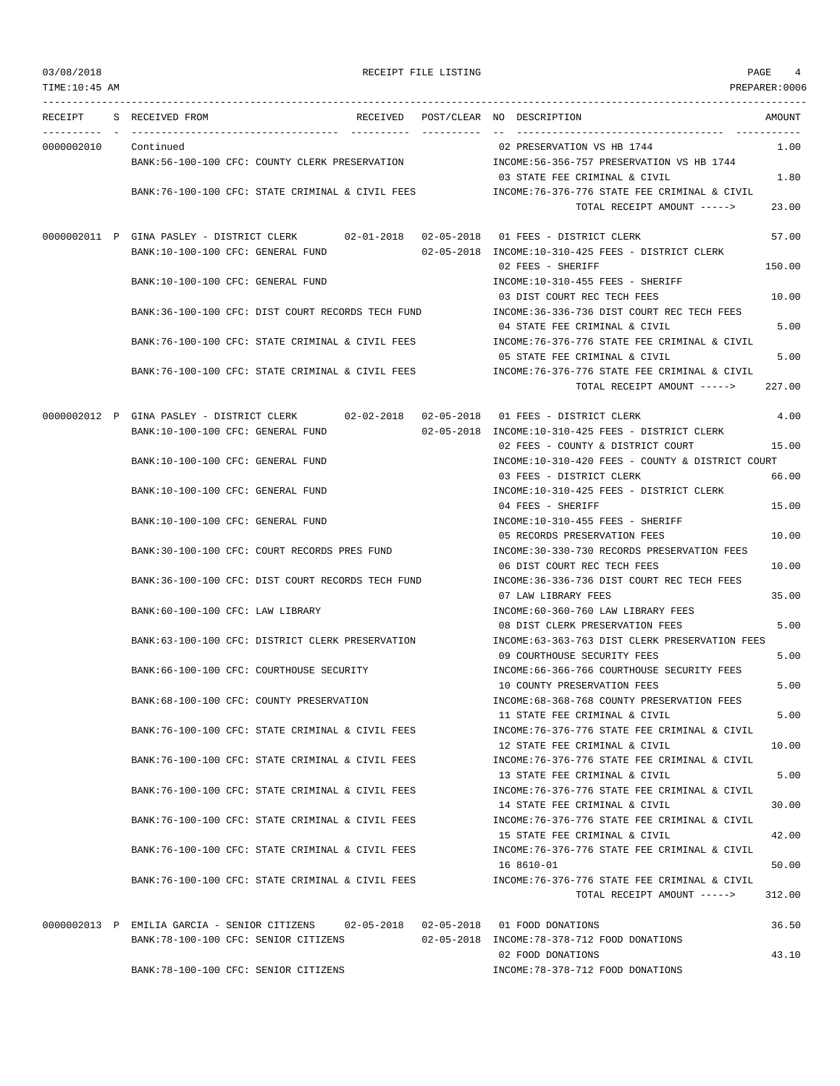## RECEIPT FILE LISTING  $\begin{array}{ccc} 4 & 4 \end{array}$

| TIME:10:45 AM |                                                                                                                               | PREPARER:0006                                                                                                                   |
|---------------|-------------------------------------------------------------------------------------------------------------------------------|---------------------------------------------------------------------------------------------------------------------------------|
| RECEIPT       | S RECEIVED FROM<br>RECEIVED POST/CLEAR NO DESCRIPTION                                                                         | AMOUNT                                                                                                                          |
| 0000002010    | Continued<br>BANK:56-100-100 CFC: COUNTY CLERK PRESERVATION                                                                   | 02 PRESERVATION VS HB 1744<br>1.00<br>INCOME: 56-356-757 PRESERVATION VS HB 1744                                                |
|               | BANK:76-100-100 CFC: STATE CRIMINAL & CIVIL FEES                                                                              | 03 STATE FEE CRIMINAL & CIVIL<br>1.80<br>INCOME:76-376-776 STATE FEE CRIMINAL & CIVIL<br>TOTAL RECEIPT AMOUNT -----><br>23.00   |
|               |                                                                                                                               |                                                                                                                                 |
|               | 0000002011 P GINA PASLEY - DISTRICT CLERK 02-01-2018 02-05-2018 01 FEES - DISTRICT CLERK<br>BANK:10-100-100 CFC: GENERAL FUND | 57.00<br>02-05-2018 INCOME:10-310-425 FEES - DISTRICT CLERK<br>150.00<br>02 FEES - SHERIFF                                      |
|               | BANK:10-100-100 CFC: GENERAL FUND                                                                                             | INCOME:10-310-455 FEES - SHERIFF<br>03 DIST COURT REC TECH FEES                                                                 |
|               | BANK:36-100-100 CFC: DIST COURT RECORDS TECH FUND                                                                             | 10.00<br>INCOME:36-336-736 DIST COURT REC TECH FEES                                                                             |
|               | BANK:76-100-100 CFC: STATE CRIMINAL & CIVIL FEES                                                                              | 5.00<br>04 STATE FEE CRIMINAL & CIVIL<br>INCOME: 76-376-776 STATE FEE CRIMINAL & CIVIL<br>05 STATE FEE CRIMINAL & CIVIL<br>5.00 |
|               | BANK:76-100-100 CFC: STATE CRIMINAL & CIVIL FEES                                                                              | INCOME: 76-376-776 STATE FEE CRIMINAL & CIVIL<br>227.00<br>TOTAL RECEIPT AMOUNT ----->                                          |
|               | 0000002012 P GINA PASLEY - DISTRICT CLERK 02-02-2018 02-05-2018 01 FEES - DISTRICT CLERK                                      | 4.00                                                                                                                            |
|               | BANK:10-100-100 CFC: GENERAL FUND                                                                                             | 02-05-2018 INCOME:10-310-425 FEES - DISTRICT CLERK<br>15.00<br>02 FEES - COUNTY & DISTRICT COURT                                |
|               | BANK:10-100-100 CFC: GENERAL FUND                                                                                             | INCOME:10-310-420 FEES - COUNTY & DISTRICT COURT                                                                                |
|               | BANK:10-100-100 CFC: GENERAL FUND                                                                                             | 03 FEES - DISTRICT CLERK<br>66.00<br>INCOME:10-310-425 FEES - DISTRICT CLERK                                                    |
|               | BANK:10-100-100 CFC: GENERAL FUND                                                                                             | 04 FEES - SHERIFF<br>15.00<br>INCOME:10-310-455 FEES - SHERIFF                                                                  |
|               | BANK:30-100-100 CFC: COURT RECORDS PRES FUND                                                                                  | 05 RECORDS PRESERVATION FEES<br>10.00<br>INCOME: 30-330-730 RECORDS PRESERVATION FEES                                           |
|               |                                                                                                                               | 06 DIST COURT REC TECH FEES<br>10.00                                                                                            |
|               | BANK:36-100-100 CFC: DIST COURT RECORDS TECH FUND                                                                             | INCOME:36-336-736 DIST COURT REC TECH FEES<br>35.00<br>07 LAW LIBRARY FEES                                                      |
|               | BANK:60-100-100 CFC: LAW LIBRARY                                                                                              | INCOME:60-360-760 LAW LIBRARY FEES<br>5.00<br>08 DIST CLERK PRESERVATION FEES                                                   |
|               | BANK:63-100-100 CFC: DISTRICT CLERK PRESERVATION                                                                              | INCOME:63-363-763 DIST CLERK PRESERVATION FEES<br>09 COURTHOUSE SECURITY FEES<br>5.00                                           |
|               | BANK:66-100-100 CFC: COURTHOUSE SECURITY                                                                                      | INCOME: 66-366-766 COURTHOUSE SECURITY FEES<br>10 COUNTY PRESERVATION FEES<br>5.00                                              |
|               | BANK:68-100-100 CFC: COUNTY PRESERVATION                                                                                      | INCOME:68-368-768 COUNTY PRESERVATION FEES                                                                                      |
|               | BANK:76-100-100 CFC: STATE CRIMINAL & CIVIL FEES                                                                              | 5.00<br>11 STATE FEE CRIMINAL & CIVIL<br>INCOME: 76-376-776 STATE FEE CRIMINAL & CIVIL                                          |
|               | BANK: 76-100-100 CFC: STATE CRIMINAL & CIVIL FEES                                                                             | 12 STATE FEE CRIMINAL & CIVIL<br>10.00<br>INCOME: 76-376-776 STATE FEE CRIMINAL & CIVIL                                         |
|               | BANK:76-100-100 CFC: STATE CRIMINAL & CIVIL FEES                                                                              | 5.00<br>13 STATE FEE CRIMINAL & CIVIL<br>INCOME: 76-376-776 STATE FEE CRIMINAL & CIVIL                                          |
|               | BANK:76-100-100 CFC: STATE CRIMINAL & CIVIL FEES                                                                              | 30.00<br>14 STATE FEE CRIMINAL & CIVIL<br>INCOME: 76-376-776 STATE FEE CRIMINAL & CIVIL                                         |
|               | BANK:76-100-100 CFC: STATE CRIMINAL & CIVIL FEES                                                                              | 42.00<br>15 STATE FEE CRIMINAL & CIVIL<br>INCOME: 76-376-776 STATE FEE CRIMINAL & CIVIL                                         |
|               |                                                                                                                               | 50.00<br>16 8610-01                                                                                                             |
|               | BANK:76-100-100 CFC: STATE CRIMINAL & CIVIL FEES                                                                              | INCOME: 76-376-776 STATE FEE CRIMINAL & CIVIL<br>TOTAL RECEIPT AMOUNT -----><br>312.00                                          |
|               | 0000002013 P EMILIA GARCIA - SENIOR CITIZENS<br>02-05-2018  02-05-2018  01  FOOD DONATIONS                                    | 36.50                                                                                                                           |
|               | BANK: 78-100-100 CFC: SENIOR CITIZENS                                                                                         | 02-05-2018 INCOME: 78-378-712 FOOD DONATIONS<br>43.10<br>02 FOOD DONATIONS                                                      |
|               | BANK: 78-100-100 CFC: SENIOR CITIZENS                                                                                         | INCOME: 78-378-712 FOOD DONATIONS                                                                                               |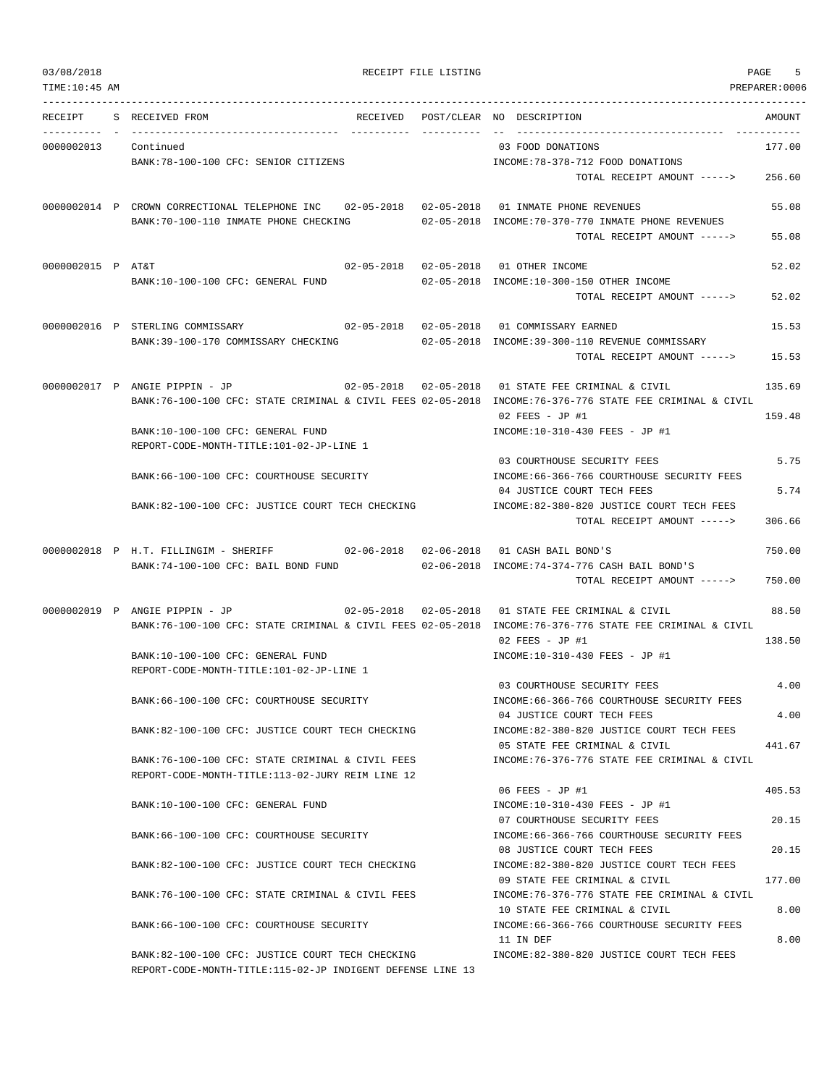TIME:10:45 AM PREPARER:0006 --------------------------------------------------------------------------------------------------------------------------------- RECEIPT S RECEIVED FROM THE RECEIVED POST/CLEAR NO DESCRIPTION THE RECEIVED AMOUNT ---------- - ----------------------------------- ---------- ---------- -- ----------------------------------- ----------- 0000002013 Continued 03 FOOD DONATIONS 177.00 BANK:78-100-100 CFC: SENIOR CITIZENS  $INCOME:78-378-712$  FOOD DONATIONS TOTAL RECEIPT AMOUNT -----> 256.60 0000002014 P CROWN CORRECTIONAL TELEPHONE INC 02-05-2018 02-05-2018 01 INMATE PHONE REVENUES 55.08 BANK:70-100-110 INMATE PHONE CHECKING 02-05-2018 INCOME:70-370-770 INMATE PHONE REVENUES TOTAL RECEIPT AMOUNT -----> 55.08 0000002015 P AT&T 02-05-2018 02-05-2018 01 OTHER INCOME 52.02 BANK:10-100-100 CFC: GENERAL FUND 02-05-2018 INCOME:10-300-150 OTHER INCOME TOTAL RECEIPT AMOUNT -----> 52.02 0000002016 P STERLING COMMISSARY 02-05-2018 02-05-2018 01 COMMISSARY EARNED 15.53 BANK:39-100-170 COMMISSARY CHECKING 02-05-2018 INCOME:39-300-110 REVENUE COMMISSARY TOTAL RECEIPT AMOUNT -----> 15.53 0000002017 P ANGIE PIPPIN - JP 02-05-2018 02-05-2018 01 STATE FEE CRIMINAL & CIVIL 135.69 BANK:76-100-100 CFC: STATE CRIMINAL & CIVIL FEES 02-05-2018 INCOME:76-376-776 STATE FEE CRIMINAL & CIVIL 02 FEES - JP #1 159.48 BANK:10-100-100 CFC: GENERAL FUND INCOME:10-310-430 FEES - JP #1 REPORT-CODE-MONTH-TITLE:101-02-JP-LINE 1 03 COURTHOUSE SECURITY FEES 5.75 BANK:66-100-100 CFC: COURTHOUSE SECURITY INCOME:66-366-766 COURTHOUSE SECURITY FEES 04 JUSTICE COURT TECH FEES 5.74 BANK:82-100-100 CFC: JUSTICE COURT TECH CHECKING INCOME:82-380-820 JUSTICE COURT TECH FEES TOTAL RECEIPT AMOUNT -----> 306.66 0000002018 P H.T. FILLINGIM - SHERIFF 02-06-2018 02-06-2018 01 CASH BAIL BOND'S 750.00 BANK:74-100-100 CFC: BAIL BOND FUND 02-06-2018 INCOME:74-374-776 CASH BAIL BOND'S  $T$ OTAL RECEIPT AMOUNT  $---$ > 750.00 0000002019 P ANGIE PIPPIN - JP 02-05-2018 02-05-2018 01 STATE FEE CRIMINAL & CIVIL 88.50 BANK:76-100-100 CFC: STATE CRIMINAL & CIVIL FEES 02-05-2018 INCOME:76-376-776 STATE FEE CRIMINAL & CIVIL 02 FEES - JP #1 138.50 BANK:10-100-100 CFC: GENERAL FUND INCOME:10-310-430 FEES - JP #1 REPORT-CODE-MONTH-TITLE:101-02-JP-LINE 1 03 COURTHOUSE SECURITY FEES 4.00 BANK:66-100-100 CFC: COURTHOUSE SECURITY INCOME:66-366-766 COURTHOUSE SECURITY FEES 04 JUSTICE COURT TECH FEES 4.00 BANK:82-100-100 CFC: JUSTICE COURT TECH CHECKING INCOME:82-380-820 JUSTICE COURT TECH FEES 05 STATE FEE CRIMINAL & CIVIL 441.67 BANK:76-100-100 CFC: STATE CRIMINAL & CIVIL FEES INCOME:76-376-776 STATE FEE CRIMINAL & CIVIL REPORT-CODE-MONTH-TITLE:113-02-JURY REIM LINE 12  $06$  FEES - JP #1  $405.53$ BANK:10-100-100 CFC: GENERAL FUND INCOME:10-310-430 FEES - JP #1 07 COURTHOUSE SECURITY FEES 20.15 BANK:66-100-100 CFC: COURTHOUSE SECURITY INCOME:66-366-766 COURTHOUSE SECURITY FEES 08 JUSTICE COURT TECH FEES 20.15 BANK:82-100-100 CFC: JUSTICE COURT TECH CHECKING INCOME:82-380-820 JUSTICE COURT TECH FEES 09 STATE FEE CRIMINAL & CIVIL 177.00 BANK:76-100-100 CFC: STATE CRIMINAL & CIVIL FEES INCOME:76-376-776 STATE FEE CRIMINAL & CIVIL 10 STATE FEE CRIMINAL & CIVIL 6 (1990) 8.00 BANK:66-100-100 CFC: COURTHOUSE SECURITY INCOME:66-366-766 COURTHOUSE SECURITY FEES 11 IN DEF 8.00 BANK:82-100-100 CFC: JUSTICE COURT TECH CHECKING INCOME:82-380-820 JUSTICE COURT TECH FEES REPORT-CODE-MONTH-TITLE:115-02-JP INDIGENT DEFENSE LINE 13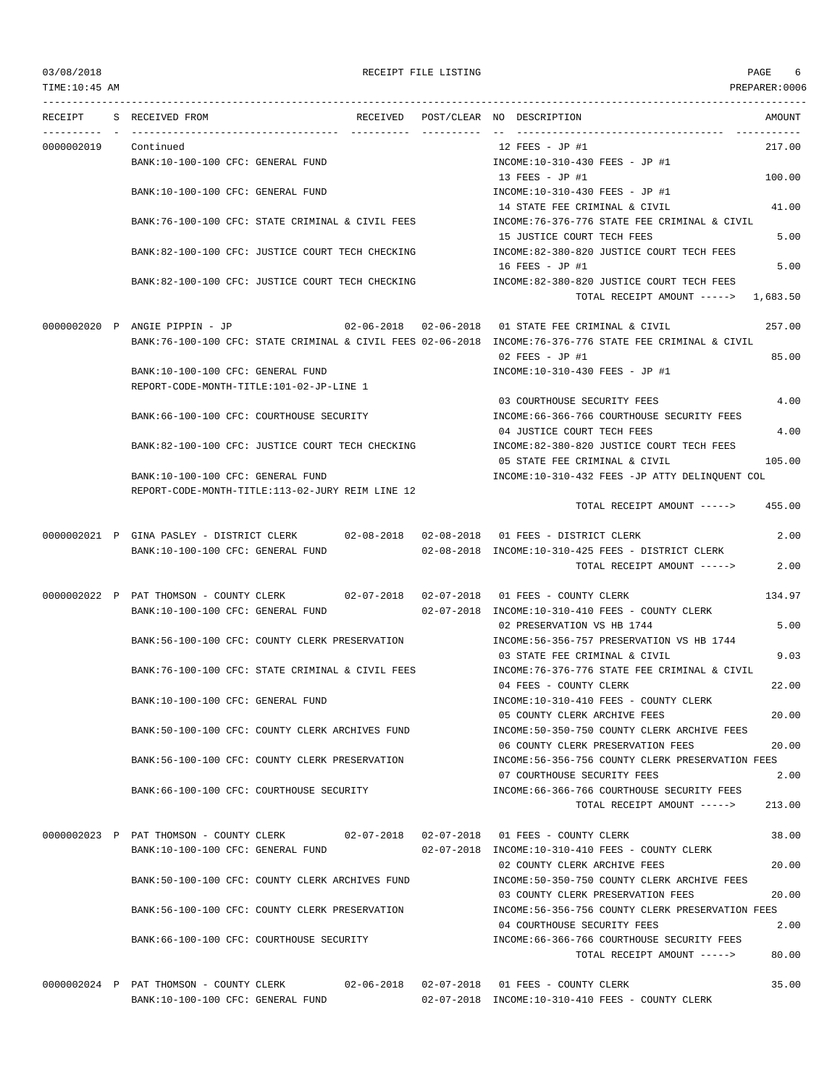TIME:10:45 AM PREPARER:0006 --------------------------------------------------------------------------------------------------------------------------------- RECEIPT S RECEIVED FROM THE RECEIVED POST/CLEAR NO DESCRIPTION THE RECEIVED AMOUNT ---------- - ----------------------------------- ---------- ---------- -- ----------------------------------- ----------- 0000002019 Continued 12 FEES - JP #1 217.00 BANK:10-100-100 CFC: GENERAL FUND INCOME:10-310-430 FEES - JP #1 13 FEES - JP #1 100.00 BANK:10-100-100 CFC: GENERAL FUND INCOME:10-310-430 FEES - JP #1 14 STATE FEE CRIMINAL & CIVIL 41.00 BANK:76-100-100 CFC: STATE CRIMINAL & CIVIL FEES INCOME:76-376-776 STATE FEE CRIMINAL & CIVIL 15 JUSTICE COURT TECH FEES 5.00 BANK:82-100-100 CFC: JUSTICE COURT TECH CHECKING INCOME:82-380-820 JUSTICE COURT TECH FEES 16 FEES - JP #1 5.00 BANK:82-100-100 CFC: JUSTICE COURT TECH CHECKING INCOME:82-380-820 JUSTICE COURT TECH FEES TOTAL RECEIPT AMOUNT -----> 1,683.50 0000002020 P ANGIE PIPPIN - JP 02-06-2018 02-06-2018 01 STATE FEE CRIMINAL & CIVIL 257.00 BANK:76-100-100 CFC: STATE CRIMINAL & CIVIL FEES 02-06-2018 INCOME:76-376-776 STATE FEE CRIMINAL & CIVIL 02 FEES - JP #1 85.00 BANK:10-100-100 CFC: GENERAL FUND INCOME:10-310-430 FEES - JP #1 REPORT-CODE-MONTH-TITLE:101-02-JP-LINE 1 03 COURTHOUSE SECURITY FEES 4.00 BANK:66-100-100 CFC: COURTHOUSE SECURITY INCOME:66-366-766 COURTHOUSE SECURITY FEES 04 JUSTICE COURT TECH FEES 4.00 BANK:82-100-100 CFC: JUSTICE COURT TECH CHECKING INCOME:82-380-820 JUSTICE COURT TECH FEES 05 STATE FEE CRIMINAL & CIVIL 105.00 BANK:10-100-100 CFC: GENERAL FUND INCOME:10-310-432 FEES -JP ATTY DELINQUENT COL REPORT-CODE-MONTH-TITLE:113-02-JURY REIM LINE 12 TOTAL RECEIPT AMOUNT -----> 455.00 0000002021 P GINA PASLEY - DISTRICT CLERK 02-08-2018 02-08-2018 01 FEES - DISTRICT CLERK 2.00 BANK:10-100-100 CFC: GENERAL FUND 02-08-2018 INCOME:10-310-425 FEES - DISTRICT CLERK TOTAL RECEIPT AMOUNT -----> 2.00 0000002022 P PAT THOMSON - COUNTY CLERK 02-07-2018 02-07-2018 01 FEES - COUNTY CLERK 134.97 BANK:10-100-100 CFC: GENERAL FUND 02-07-2018 INCOME:10-310-410 FEES - COUNTY CLERK 02 PRESERVATION VS HB 1744 5.00 BANK:56-100-100 CFC: COUNTY CLERK PRESERVATION INCOME:56-356-757 PRESERVATION VS HB 1744 03 STATE FEE CRIMINAL & CIVIL 9.03 BANK:76-100-100 CFC: STATE CRIMINAL & CIVIL FEES INCOME:76-376-776 STATE FEE CRIMINAL & CIVIL 04 FEES - COUNTY CLERK 22.00 BANK:10-100-100 CFC: GENERAL FUND INCOME:10-310-410 FEES - COUNTY CLERK 05 COUNTY CLERK ARCHIVE FEES 20.00 BANK:50-100-100 CFC: COUNTY CLERK ARCHIVES FUND INCOME:50-350-750 COUNTY CLERK ARCHIVE FEES 06 COUNTY CLERK PRESERVATION FEES 20.00 BANK:56-100-100 CFC: COUNTY CLERK PRESERVATION INCOME:56-356-756 COUNTY CLERK PRESERVATION FEES 07 COURTHOUSE SECURITY FEES 2.00 BANK:66-100-100 CFC: COURTHOUSE SECURITY INCOME:66-366-766 COURTHOUSE SECURITY FEES TOTAL RECEIPT AMOUNT -----> 213.00 0000002023 P PAT THOMSON - COUNTY CLERK 02-07-2018 02-07-2018 01 FEES - COUNTY CLERK 38.00 BANK:10-100-100 CFC: GENERAL FUND 02-07-2018 INCOME:10-310-410 FEES - COUNTY CLERK 02 COUNTY CLERK ARCHIVE FEES 20.00 BANK:50-100-100 CFC: COUNTY CLERK ARCHIVES FUND INCOME:50-350-750 COUNTY CLERK ARCHIVE FEES 03 COUNTY CLERK PRESERVATION FEES 20.00 BANK:56-100-100 CFC: COUNTY CLERK PRESERVATION INCOME:56-356-756 COUNTY CLERK PRESERVATION FEES 04 COURTHOUSE SECURITY FEES 2.00 BANK:66-100-100 CFC: COURTHOUSE SECURITY INCOME:66-366-766 COURTHOUSE SECURITY FEES TOTAL RECEIPT AMOUNT -----> 80.00

0000002024 P PAT THOMSON - COUNTY CLERK 02-06-2018 02-07-2018 01 FEES - COUNTY CLERK 35.00 BANK:10-100-100 CFC: GENERAL FUND 02-07-2018 INCOME:10-310-410 FEES - COUNTY CLERK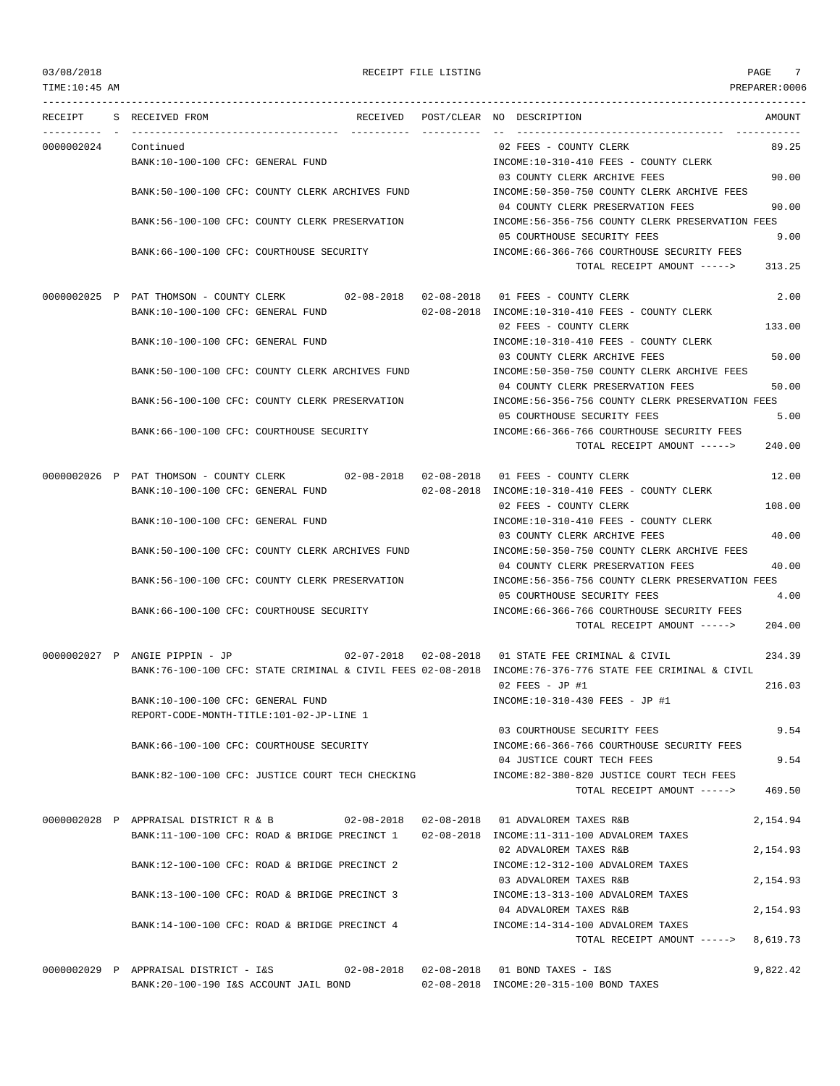TIME:10:45 AM PREPARER:0006 --------------------------------------------------------------------------------------------------------------------------------- RECEIPT S RECEIVED FROM THE RECEIVED POST/CLEAR NO DESCRIPTION THE RECEIVED AMOUNT ---------- - ----------------------------------- ---------- ---------- -- ----------------------------------- ----------- 0000002024 Continued 02 FEES - COUNTY CLERK 89.25 BANK:10-100-100 CFC: GENERAL FUND INCOME:10-310-410 FEES - COUNTY CLERK 03 COUNTY CLERK ARCHIVE FEES 90.00 BANK:50-100-100 CFC: COUNTY CLERK ARCHIVES FUND INCOME:50-350-750 COUNTY CLERK ARCHIVE FEES 04 COUNTY CLERK PRESERVATION FEES 90.00 BANK:56-100-100 CFC: COUNTY CLERK PRESERVATION INCOME:56-356-756 COUNTY CLERK PRESERVATION FEES 05 COURTHOUSE SECURITY FEES 9.00 BANK:66-100-100 CFC: COURTHOUSE SECURITY **INCOME:66-366-766 COURTHOUSE SECURITY FEES** TOTAL RECEIPT AMOUNT -----> 313.25 0000002025 P PAT THOMSON - COUNTY CLERK 02-08-2018 02-08-2018 01 FEES - COUNTY CLERK 2.00 BANK:10-100-100 CFC: GENERAL FUND 02-08-2018 INCOME:10-310-410 FEES - COUNTY CLERK 02 FEES - COUNTY CLERK 133.00 BANK:10-100-100 CFC: GENERAL FUND INCOME:10-310-410 FEES - COUNTY CLERK 03 COUNTY CLERK ARCHIVE FEES 50.00 BANK:50-100-100 CFC: COUNTY CLERK ARCHIVES FUND INCOME:50-350-750 COUNTY CLERK ARCHIVE FEES 04 COUNTY CLERK PRESERVATION FEES 50.00 BANK:56-100-100 CFC: COUNTY CLERK PRESERVATION INCOME:56-356-756 COUNTY CLERK PRESERVATION FEES 05 COURTHOUSE SECURITY FEES 5.00 BANK:66-100-100 CFC: COURTHOUSE SECURITY INCOME:66-366-766 COURTHOUSE SECURITY FEES TOTAL RECEIPT AMOUNT -----> 240.00 0000002026 P PAT THOMSON - COUNTY CLERK 02-08-2018 02-08-2018 01 FEES - COUNTY CLERK 12.00 BANK:10-100-100 CFC: GENERAL FUND 02-08-2018 INCOME:10-310-410 FEES - COUNTY CLERK 02 FEES - COUNTY CLERK 108.00 BANK:10-100-100 CFC: GENERAL FUND INCOME:10-310-410 FEES - COUNTY CLERK 03 COUNTY CLERK ARCHIVE FEES 40.00 BANK:50-100-100 CFC: COUNTY CLERK ARCHIVES FUND INCOME:50-350-750 COUNTY CLERK ARCHIVE FEES 04 COUNTY CLERK PRESERVATION FEES 40.00 BANK:56-100-100 CFC: COUNTY CLERK PRESERVATION INCOME:56-356-756 COUNTY CLERK PRESERVATION FEES 05 COURTHOUSE SECURITY FEES 4.00 BANK:66-100-100 CFC: COURTHOUSE SECURITY INCOME:66-366-766 COURTHOUSE SECURITY FEES TOTAL RECEIPT AMOUNT -----> 204.00 0000002027 P ANGIE PIPPIN - JP 02-07-2018 02-08-2018 01 STATE FEE CRIMINAL & CIVIL 234.39 BANK:76-100-100 CFC: STATE CRIMINAL & CIVIL FEES 02-08-2018 INCOME:76-376-776 STATE FEE CRIMINAL & CIVIL 02 FEES - JP #1 216.03 BANK:10-100-100 CFC: GENERAL FUND INCOME:10-310-430 FEES - JP #1 REPORT-CODE-MONTH-TITLE:101-02-JP-LINE 1 03 COURTHOUSE SECURITY FEES 9.54 BANK:66-100-100 CFC: COURTHOUSE SECURITY INCOME:66-366-766 COURTHOUSE SECURITY FEES 04 JUSTICE COURT TECH FEES 9.54 BANK:82-100-100 CFC: JUSTICE COURT TECH CHECKING INCOME:82-380-820 JUSTICE COURT TECH FEES TOTAL RECEIPT AMOUNT -----> 469.50 0000002028 P APPRAISAL DISTRICT R & B 02-08-2018 02-08-2018 01 ADVALOREM TAXES R&B 2,154.94 BANK:11-100-100 CFC: ROAD & BRIDGE PRECINCT 1 02-08-2018 INCOME:11-311-100 ADVALOREM TAXES 02 ADVALOREM TAXES R&B 2,154.93 BANK:12-100-100 CFC: ROAD & BRIDGE PRECINCT 2 INCOME:12-312-100 ADVALOREM TAXES 03 ADVALOREM TAXES R&B 2,154.93 BANK:13-100-100 CFC: ROAD & BRIDGE PRECINCT 3 INCOME:13-313-100 ADVALOREM TAXES 04 ADVALOREM TAXES R&B 2,154.93 BANK:14-100-100 CFC: ROAD & BRIDGE PRECINCT 4 INCOME:14-314-100 ADVALOREM TAXES TOTAL RECEIPT AMOUNT -----> 8,619.73 0000002029 P APPRAISAL DISTRICT - I&S 02-08-2018 02-08-2018 01 BOND TAXES - I&S 9,822.42 BANK:20-100-190 I&S ACCOUNT JAIL BOND 02-08-2018 INCOME:20-315-100 BOND TAXES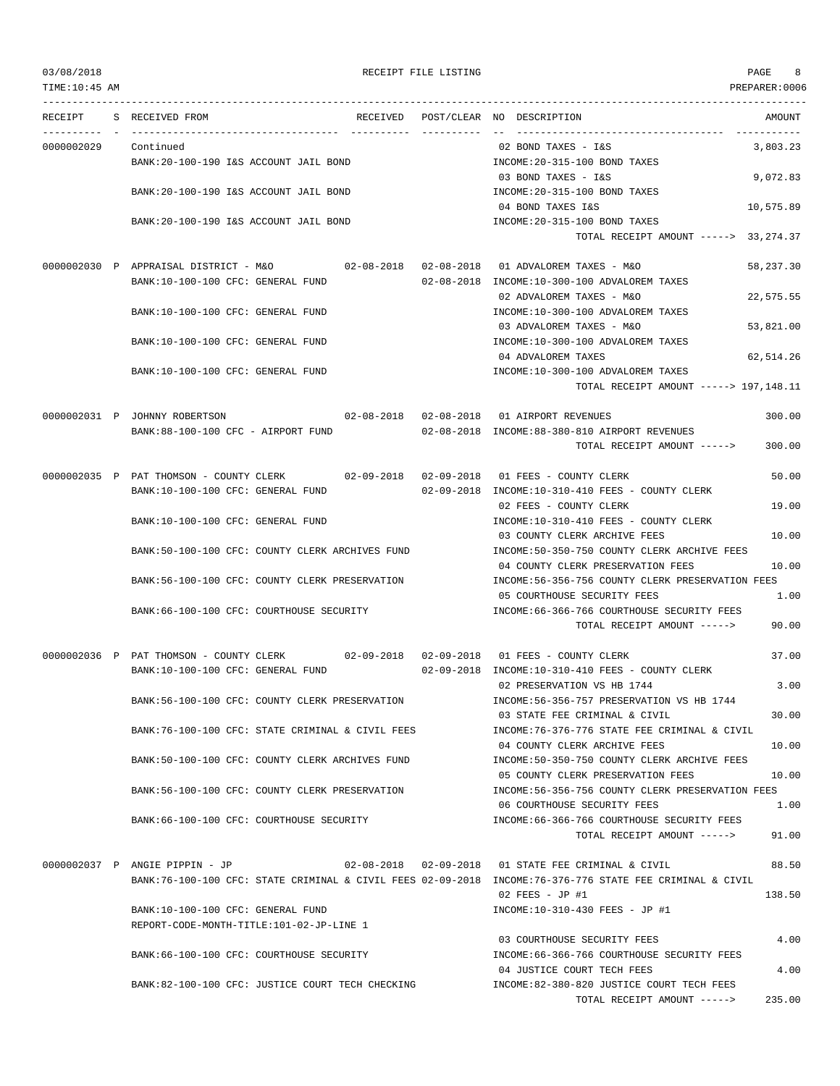### 03/08/2018 RECEIPT FILE LISTING PAGE 8

TOTAL RECEIPT AMOUNT -----> 235.00

--------------------------------------------------------------------------------------------------------------------------------- RECEIPT S RECEIVED FROM THE RECEIVED POST/CLEAR NO DESCRIPTION THE SECRET AMOUNT ---------- - ----------------------------------- ---------- ---------- -- ----------------------------------- ----------- 0000002029 Continued 02 BOND TAXES - I&S 3,803.23 BANK:20-100-190 I&S ACCOUNT JAIL BOND **INCOME:20-315-100 BOND TAXES** 03 BOND TAXES - I&S 9,072.83 BANK:20-100-190 I&S ACCOUNT JAIL BOND INCOME:20-315-100 BOND TAXES 04 BOND TAXES I&S 10,575.89 BANK:20-100-190 I&S ACCOUNT JAIL BOND SUND INCOME:20-315-100 BOND TAXES TOTAL RECEIPT AMOUNT -----> 33,274.37 0000002030 P APPRAISAL DISTRICT - M&O 02-08-2018 02-08-2018 01 ADVALOREM TAXES - M&O 58,237.30 BANK:10-100-100 CFC: GENERAL FUND 02-08-2018 INCOME:10-300-100 ADVALOREM TAXES 02 ADVALOREM TAXES - M&O 22,575.55 BANK:10-100-100 CFC: GENERAL FUND INCOME:10-300-100 ADVALOREM TAXES 03 ADVALOREM TAXES - M&O 53,821.00 BANK:10-100-100 CFC: GENERAL FUND INCOME:10-300-100 ADVALOREM TAXES 04 ADVALOREM TAXES 62,514.26 BANK:10-100-100 CFC: GENERAL FUND INCOME:10-300-100 ADVALOREM TAXES TOTAL RECEIPT AMOUNT -----> 197,148.11 0000002031 P JOHNNY ROBERTSON 02-08-2018 02-08-2018 01 AIRPORT REVENUES 300.00 BANK:88-100-100 CFC - AIRPORT FUND 02-08-2018 INCOME:88-380-810 AIRPORT REVENUES TOTAL RECEIPT AMOUNT -----> 300.00 0000002035 P PAT THOMSON - COUNTY CLERK 02-09-2018 02-09-2018 01 FEES - COUNTY CLERK 50.00 BANK:10-100-100 CFC: GENERAL FUND 02-09-2018 INCOME:10-310-410 FEES - COUNTY CLERK 02 FEES - COUNTY CLERK 19.00 BANK:10-100-100 CFC: GENERAL FUND INCOME:10-310-410 FEES - COUNTY CLERK 03 COUNTY CLERK ARCHIVE FEES 10.00 BANK:50-100-100 CFC: COUNTY CLERK ARCHIVES FUND INCOME:50-350-750 COUNTY CLERK ARCHIVE FEES 04 COUNTY CLERK PRESERVATION FEES 10.00 BANK:56-100-100 CFC: COUNTY CLERK PRESERVATION INCOME:56-356-756 COUNTY CLERK PRESERVATION FEES 05 COURTHOUSE SECURITY FEES 1.00 BANK:66-100-100 CFC: COURTHOUSE SECURITY INCOME:66-366-766 COURTHOUSE SECURITY FEES TOTAL RECEIPT AMOUNT -----> 90.00 0000002036 P PAT THOMSON - COUNTY CLERK 02-09-2018 02-09-2018 01 FEES - COUNTY CLERK 37.00 BANK:10-100-100 CFC: GENERAL FUND 02-09-2018 INCOME:10-310-410 FEES - COUNTY CLERK 02 PRESERVATION VS HB 1744 3.00 BANK:56-100-100 CFC: COUNTY CLERK PRESERVATION INCOME:56-356-757 PRESERVATION VS HB 1744 03 STATE FEE CRIMINAL & CIVIL 30.00 BANK:76-100-100 CFC: STATE CRIMINAL & CIVIL FEES INCOME:76-376-776 STATE FEE CRIMINAL & CIVIL 04 COUNTY CLERK ARCHIVE FEES 10.00 BANK:50-100-100 CFC: COUNTY CLERK ARCHIVES FUND INCOME:50-350-750 COUNTY CLERK ARCHIVE FEES 05 COUNTY CLERK PRESERVATION FEES 10.00 BANK:56-100-100 CFC: COUNTY CLERK PRESERVATION INCOME:56-356-756 COUNTY CLERK PRESERVATION FEES 06 COURTHOUSE SECURITY FEES 1.00 BANK:66-100-100 CFC: COURTHOUSE SECURITY INCOME:66-366-766 COURTHOUSE SECURITY FEES TOTAL RECEIPT AMOUNT -----> 91.00 0000002037 P ANGIE PIPPIN - JP 02-08-2018 02-09-2018 01 STATE FEE CRIMINAL & CIVIL 88.50 BANK:76-100-100 CFC: STATE CRIMINAL & CIVIL FEES 02-09-2018 INCOME:76-376-776 STATE FEE CRIMINAL & CIVIL  $02$  FEES - JP #1 138.50 BANK:10-100-100 CFC: GENERAL FUND INCOME:10-310-430 FEES - JP #1 REPORT-CODE-MONTH-TITLE:101-02-JP-LINE 1 03 COURTHOUSE SECURITY FEES 4.00 BANK:66-100-100 CFC: COURTHOUSE SECURITY **INCOME:66-366-766 COURTHOUSE SECURITY FEES** 04 JUSTICE COURT TECH FEES 4.00 BANK:82-100-100 CFC: JUSTICE COURT TECH CHECKING INCOME:82-380-820 JUSTICE COURT TECH FEES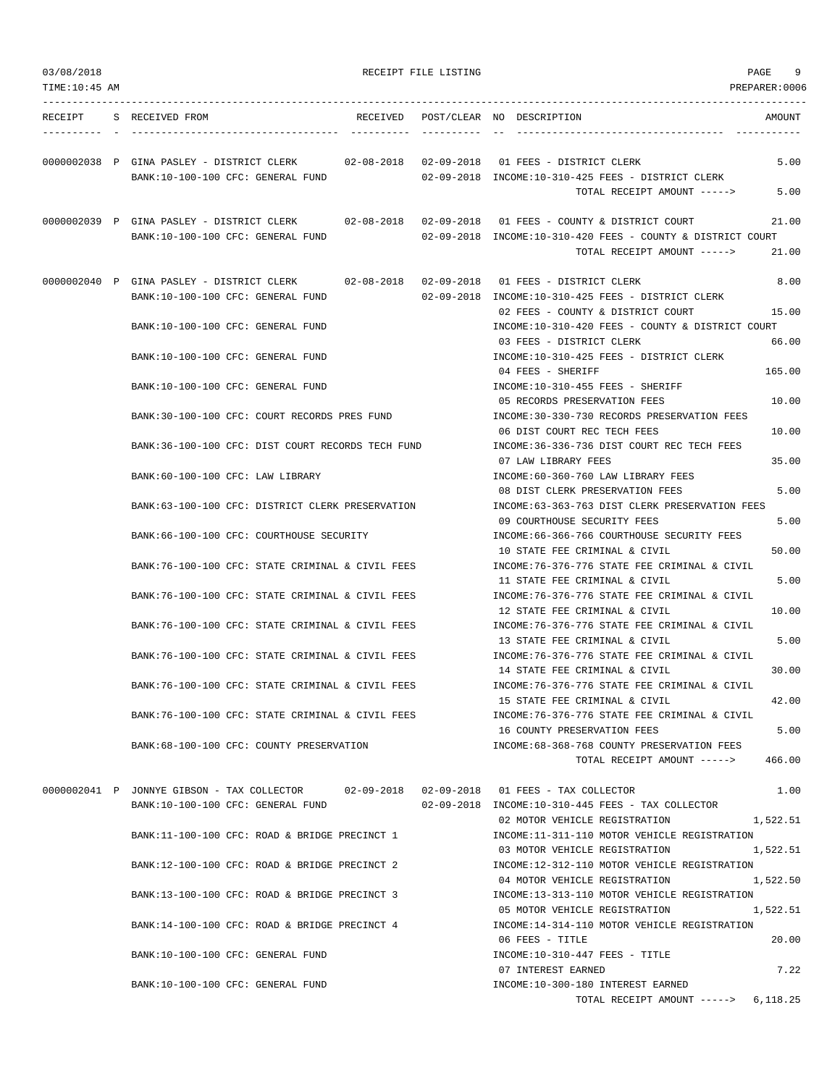| 03/08/2018    |                                                                                                                                        | RECEIPT FILE LISTING |                                                                                                                               | PAGE<br>9            |
|---------------|----------------------------------------------------------------------------------------------------------------------------------------|----------------------|-------------------------------------------------------------------------------------------------------------------------------|----------------------|
| TIME:10:45 AM |                                                                                                                                        |                      |                                                                                                                               | PREPARER: 0006       |
|               | RECEIPT S RECEIVED FROM                                                                                                                |                      | RECEIVED POST/CLEAR NO DESCRIPTION                                                                                            | AMOUNT               |
|               | 0000002038 P GINA PASLEY - DISTRICT CLERK 02-08-2018 02-09-2018 01 FEES - DISTRICT CLERK<br>BANK:10-100-100 CFC: GENERAL FUND          |                      | $02-09-2018$ INCOME: $10-310-425$ FEES - DISTRICT CLERK<br>TOTAL RECEIPT AMOUNT ----->                                        | 5.00<br>5.00         |
|               | 0000002039 P GINA PASLEY - DISTRICT CLERK 02-08-2018 02-09-2018 01 FEES - COUNTY & DISTRICT COURT<br>BANK:10-100-100 CFC: GENERAL FUND |                      | 02-09-2018 INCOME:10-310-420 FEES - COUNTY & DISTRICT COURT<br>TOTAL RECEIPT AMOUNT ----->                                    | 21.00<br>21.00       |
|               | 0000002040 P GINA PASLEY - DISTRICT CLERK 02-08-2018 02-09-2018 01 FEES - DISTRICT CLERK<br>BANK:10-100-100 CFC: GENERAL FUND          |                      | 02-09-2018 INCOME:10-310-425 FEES - DISTRICT CLERK                                                                            | 8.00                 |
|               | BANK:10-100-100 CFC: GENERAL FUND                                                                                                      |                      | 02 FEES - COUNTY & DISTRICT COURT<br>INCOME:10-310-420 FEES - COUNTY & DISTRICT COURT<br>03 FEES - DISTRICT CLERK             | 15.00<br>66.00       |
|               | BANK:10-100-100 CFC: GENERAL FUND<br>BANK:10-100-100 CFC: GENERAL FUND                                                                 |                      | INCOME:10-310-425 FEES - DISTRICT CLERK<br>04 FEES - SHERIFF<br>INCOME:10-310-455 FEES - SHERIFF                              | 165.00               |
|               | BANK:30-100-100 CFC: COURT RECORDS PRES FUND                                                                                           |                      | 05 RECORDS PRESERVATION FEES<br>INCOME: 30-330-730 RECORDS PRESERVATION FEES                                                  | 10.00                |
|               | BANK:36-100-100 CFC: DIST COURT RECORDS TECH FUND                                                                                      |                      | 06 DIST COURT REC TECH FEES<br>INCOME:36-336-736 DIST COURT REC TECH FEES<br>07 LAW LIBRARY FEES                              | 10.00<br>35.00       |
|               | BANK:60-100-100 CFC: LAW LIBRARY<br>BANK:63-100-100 CFC: DISTRICT CLERK PRESERVATION                                                   |                      | INCOME:60-360-760 LAW LIBRARY FEES<br>08 DIST CLERK PRESERVATION FEES<br>INCOME:63-363-763 DIST CLERK PRESERVATION FEES       | 5.00                 |
|               | BANK: 66-100-100 CFC: COURTHOUSE SECURITY                                                                                              |                      | 09 COURTHOUSE SECURITY FEES<br>INCOME:66-366-766 COURTHOUSE SECURITY FEES<br>10 STATE FEE CRIMINAL & CIVIL                    | 5.00<br>50.00        |
|               | BANK:76-100-100 CFC: STATE CRIMINAL & CIVIL FEES<br>BANK:76-100-100 CFC: STATE CRIMINAL & CIVIL FEES                                   |                      | INCOME:76-376-776 STATE FEE CRIMINAL & CIVIL<br>11 STATE FEE CRIMINAL & CIVIL<br>INCOME:76-376-776 STATE FEE CRIMINAL & CIVIL | 5.00                 |
|               | BANK:76-100-100 CFC: STATE CRIMINAL & CIVIL FEES                                                                                       |                      | 12 STATE FEE CRIMINAL & CIVIL<br>INCOME: 76-376-776 STATE FEE CRIMINAL & CIVIL                                                | 10.00                |
|               | BANK:76-100-100 CFC: STATE CRIMINAL & CIVIL FEES                                                                                       |                      | 13 STATE FEE CRIMINAL & CIVIL<br>INCOME:76-376-776 STATE FEE CRIMINAL & CIVIL<br>14 STATE FEE CRIMINAL & CIVIL                | 5.00<br>30.00        |
|               | BANK:76-100-100 CFC: STATE CRIMINAL & CIVIL FEES<br>BANK:76-100-100 CFC: STATE CRIMINAL & CIVIL FEES                                   |                      | INCOME:76-376-776 STATE FEE CRIMINAL & CIVIL<br>15 STATE FEE CRIMINAL & CIVIL<br>INCOME:76-376-776 STATE FEE CRIMINAL & CIVIL | 42.00                |
|               | BANK:68-100-100 CFC: COUNTY PRESERVATION                                                                                               |                      | 16 COUNTY PRESERVATION FEES<br>INCOME: 68-368-768 COUNTY PRESERVATION FEES<br>TOTAL RECEIPT AMOUNT -----> 466.00              | 5.00                 |
|               | 0000002041 P JONNYE GIBSON - TAX COLLECTOR 02-09-2018 02-09-2018 01 FEES - TAX COLLECTOR<br>BANK:10-100-100 CFC: GENERAL FUND          |                      | $02-09-2018$ INCOME:10-310-445 FEES - TAX COLLECTOR                                                                           | 1.00                 |
|               | BANK:11-100-100 CFC: ROAD & BRIDGE PRECINCT 1                                                                                          |                      | 02 MOTOR VEHICLE REGISTRATION<br>INCOME:11-311-110 MOTOR VEHICLE REGISTRATION<br>03 MOTOR VEHICLE REGISTRATION                | 1,522.51<br>1,522.51 |
|               | BANK:12-100-100 CFC: ROAD & BRIDGE PRECINCT 2<br>BANK:13-100-100 CFC: ROAD & BRIDGE PRECINCT 3                                         |                      | INCOME:12-312-110 MOTOR VEHICLE REGISTRATION<br>04 MOTOR VEHICLE REGISTRATION                                                 | 1,522.50             |
|               | BANK:14-100-100 CFC: ROAD & BRIDGE PRECINCT 4                                                                                          |                      | INCOME:13-313-110 MOTOR VEHICLE REGISTRATION<br>05 MOTOR VEHICLE REGISTRATION<br>INCOME:14-314-110 MOTOR VEHICLE REGISTRATION | 1,522.51             |
|               | BANK:10-100-100 CFC: GENERAL FUND                                                                                                      |                      | 06 FEES - TITLE<br>INCOME:10-310-447 FEES - TITLE<br>07 INTEREST EARNED                                                       | 20.00<br>7.22        |

BANK:10-100-100 CFC: GENERAL FUND INCOME:10-300-180 INTEREST EARNED

TOTAL RECEIPT AMOUNT -----> 6,118.25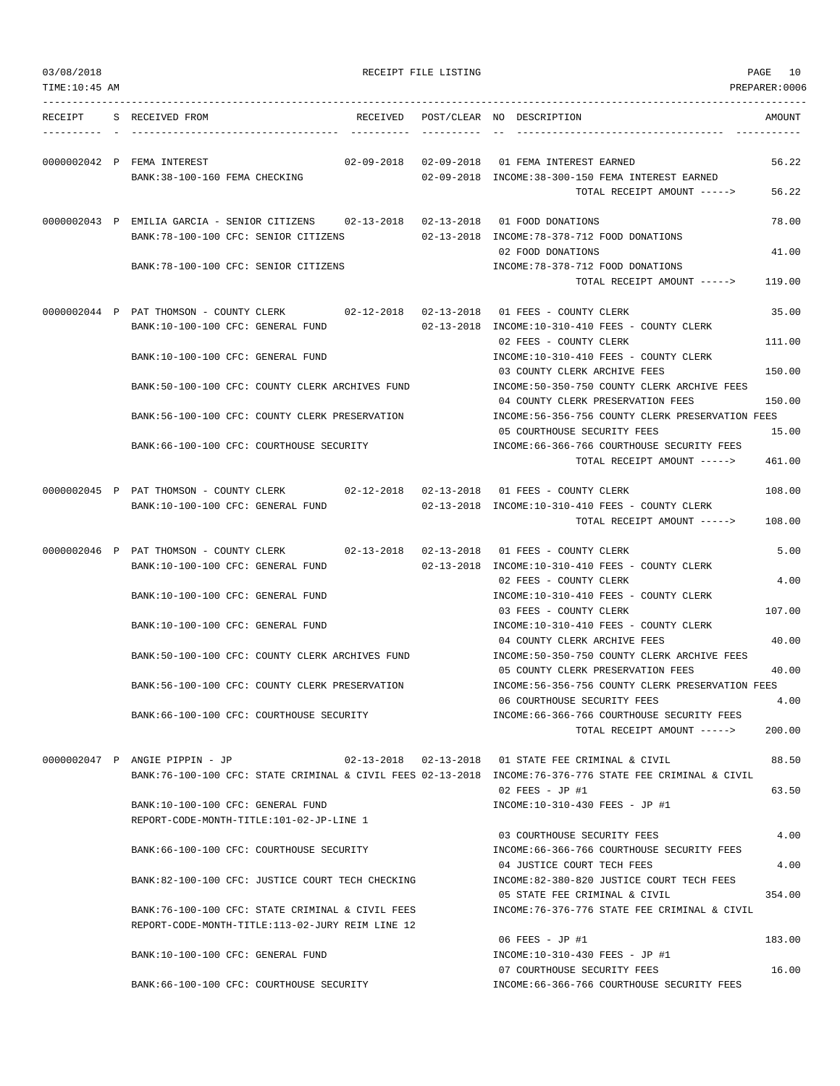| 03/08/2018<br>TIME: 10: 45 AM |                                                                                                                           |                                   | RECEIPT FILE LISTING |                                                                                                                                     | PAGE<br>10<br>PREPARER:0006 |
|-------------------------------|---------------------------------------------------------------------------------------------------------------------------|-----------------------------------|----------------------|-------------------------------------------------------------------------------------------------------------------------------------|-----------------------------|
| RECEIPT                       | S RECEIVED FROM                                                                                                           |                                   |                      | RECEIVED POST/CLEAR NO DESCRIPTION                                                                                                  | AMOUNT                      |
|                               | 0000002042 P FEMA INTEREST<br>BANK: 38-100-160 FEMA CHECKING                                                              |                                   |                      | 02-09-2018  02-09-2018  01 FEMA INTEREST EARNED<br>02-09-2018 INCOME:38-300-150 FEMA INTEREST EARNED<br>TOTAL RECEIPT AMOUNT -----> | 56.22<br>56.22              |
|                               | 0000002043 P EMILIA GARCIA - SENIOR CITIZENS 02-13-2018 02-13-2018                                                        |                                   |                      | 01 FOOD DONATIONS                                                                                                                   | 78.00                       |
|                               | BANK: 78-100-100 CFC: SENIOR CITIZENS                                                                                     |                                   |                      | 02-13-2018 INCOME: 78-378-712 FOOD DONATIONS<br>02 FOOD DONATIONS                                                                   | 41.00                       |
|                               | BANK: 78-100-100 CFC: SENIOR CITIZENS                                                                                     |                                   |                      | INCOME: 78-378-712 FOOD DONATIONS<br>TOTAL RECEIPT AMOUNT ----->                                                                    | 119.00                      |
|                               | 0000002044 P PAT THOMSON - COUNTY CLERK 02-12-2018 02-13-2018 01 FEES - COUNTY CLERK<br>BANK:10-100-100 CFC: GENERAL FUND |                                   |                      | 02-13-2018 INCOME:10-310-410 FEES - COUNTY CLERK                                                                                    | 35.00                       |
|                               | BANK:10-100-100 CFC: GENERAL FUND                                                                                         |                                   |                      | 02 FEES - COUNTY CLERK<br>INCOME:10-310-410 FEES - COUNTY CLERK                                                                     | 111.00                      |
|                               | BANK:50-100-100 CFC: COUNTY CLERK ARCHIVES FUND                                                                           |                                   |                      | 03 COUNTY CLERK ARCHIVE FEES<br>INCOME:50-350-750 COUNTY CLERK ARCHIVE FEES                                                         | 150.00                      |
|                               | BANK:56-100-100 CFC: COUNTY CLERK PRESERVATION                                                                            |                                   |                      | 04 COUNTY CLERK PRESERVATION FEES<br>INCOME:56-356-756 COUNTY CLERK PRESERVATION FEES<br>05 COURTHOUSE SECURITY FEES                | 150.00<br>15.00             |
|                               | BANK:66-100-100 CFC: COURTHOUSE SECURITY                                                                                  |                                   |                      | INCOME: 66-366-766 COURTHOUSE SECURITY FEES<br>TOTAL RECEIPT AMOUNT ----->                                                          | 461.00                      |
|                               | 0000002045 P PAT THOMSON - COUNTY CLERK 02-12-2018 02-13-2018 01 FEES - COUNTY CLERK                                      |                                   |                      |                                                                                                                                     | 108.00                      |
|                               | BANK:10-100-100 CFC: GENERAL FUND                                                                                         |                                   |                      | 02-13-2018 INCOME:10-310-410 FEES - COUNTY CLERK<br>TOTAL RECEIPT AMOUNT ----->                                                     | 108.00                      |
|                               | 0000002046 P PAT THOMSON - COUNTY CLERK<br>BANK:10-100-100 CFC: GENERAL FUND                                              | $02 - 13 - 2018$ $02 - 13 - 2018$ |                      | 01 FEES - COUNTY CLERK<br>02-13-2018 INCOME:10-310-410 FEES - COUNTY CLERK                                                          | 5.00                        |
|                               | BANK:10-100-100 CFC: GENERAL FUND                                                                                         |                                   |                      | 02 FEES - COUNTY CLERK<br>INCOME:10-310-410 FEES - COUNTY CLERK                                                                     | 4.00                        |
|                               | BANK:10-100-100 CFC: GENERAL FUND                                                                                         |                                   |                      | 03 FEES - COUNTY CLERK<br>INCOME:10-310-410 FEES - COUNTY CLERK                                                                     | 107.00                      |
|                               | BANK:50-100-100 CFC: COUNTY CLERK ARCHIVES FUND                                                                           |                                   |                      | 04 COUNTY CLERK ARCHIVE FEES<br>INCOME:50-350-750 COUNTY CLERK ARCHIVE FEES                                                         | 40.00                       |
|                               | BANK:56-100-100 CFC: COUNTY CLERK PRESERVATION                                                                            |                                   |                      | 05 COUNTY CLERK PRESERVATION FEES<br>INCOME:56-356-756 COUNTY CLERK PRESERVATION FEES                                               | 40.00                       |
|                               | BANK:66-100-100 CFC: COURTHOUSE SECURITY                                                                                  |                                   |                      | 06 COURTHOUSE SECURITY FEES<br>INCOME:66-366-766 COURTHOUSE SECURITY FEES<br>TOTAL RECEIPT AMOUNT ----->                            | 4.00<br>200.00              |
|                               | 0000002047 P ANGIE PIPPIN - JP                                                                                            |                                   |                      | 02-13-2018  02-13-2018  01 STATE FEE CRIMINAL & CIVIL                                                                               | 88.50                       |
|                               |                                                                                                                           |                                   |                      | BANK:76-100-100 CFC: STATE CRIMINAL & CIVIL FEES 02-13-2018 INCOME:76-376-776 STATE FEE CRIMINAL & CIVIL<br>$02$ FEES - JP #1       | 63.50                       |
|                               | BANK:10-100-100 CFC: GENERAL FUND<br>REPORT-CODE-MONTH-TITLE:101-02-JP-LINE 1                                             |                                   |                      | INCOME:10-310-430 FEES - JP #1                                                                                                      |                             |
|                               | BANK:66-100-100 CFC: COURTHOUSE SECURITY                                                                                  |                                   |                      | 03 COURTHOUSE SECURITY FEES<br>INCOME: 66-366-766 COURTHOUSE SECURITY FEES<br>04 JUSTICE COURT TECH FEES                            | 4.00<br>4.00                |
|                               | BANK:82-100-100 CFC: JUSTICE COURT TECH CHECKING                                                                          |                                   |                      | INCOME:82-380-820 JUSTICE COURT TECH FEES<br>05 STATE FEE CRIMINAL & CIVIL                                                          | 354.00                      |
|                               | BANK:76-100-100 CFC: STATE CRIMINAL & CIVIL FEES<br>REPORT-CODE-MONTH-TITLE:113-02-JURY REIM LINE 12                      |                                   |                      | INCOME:76-376-776 STATE FEE CRIMINAL & CIVIL                                                                                        |                             |
|                               | BANK:10-100-100 CFC: GENERAL FUND                                                                                         |                                   |                      | 06 FEES - JP #1<br>INCOME:10-310-430 FEES - JP #1                                                                                   | 183.00                      |
|                               | BANK:66-100-100 CFC: COURTHOUSE SECURITY                                                                                  |                                   |                      | 07 COURTHOUSE SECURITY FEES<br>INCOME: 66-366-766 COURTHOUSE SECURITY FEES                                                          | 16.00                       |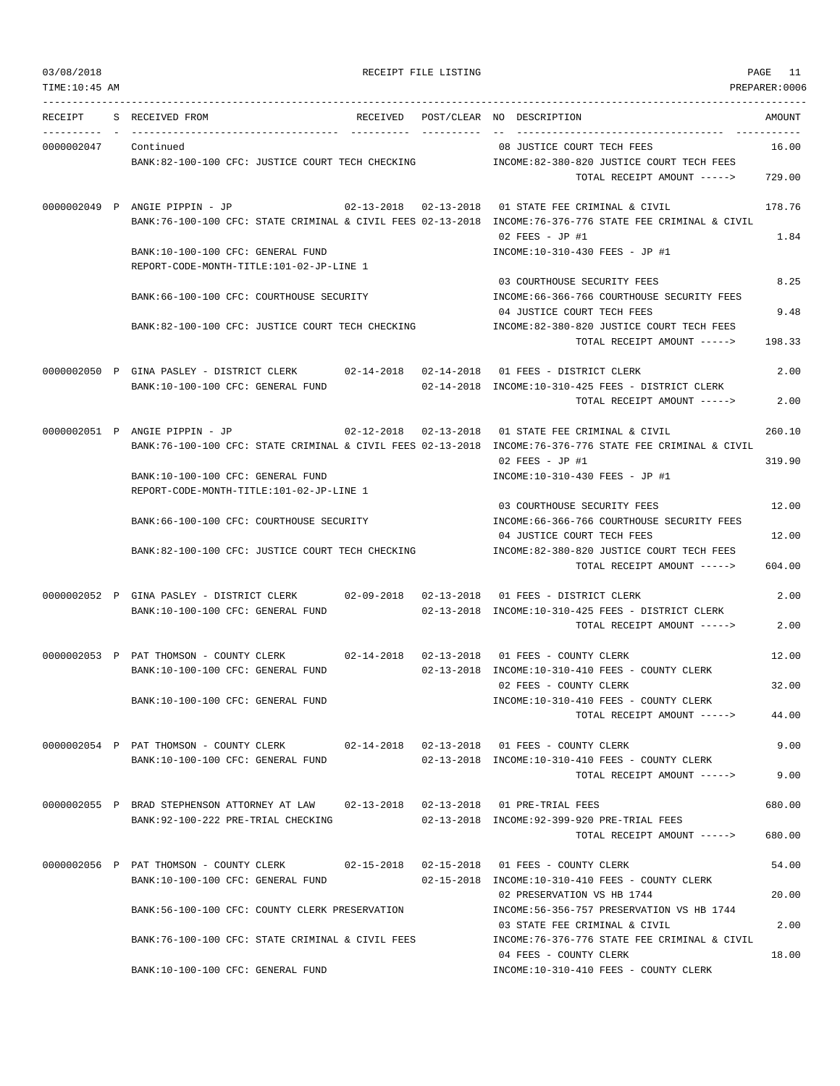03/08/2018 RECEIPT FILE LISTING PAGE 11

| RECEIPT              | S RECEIVED FROM                                                                          |  | RECEIVED POST/CLEAR NO DESCRIPTION                                                                                          | AMOUNT |
|----------------------|------------------------------------------------------------------------------------------|--|-----------------------------------------------------------------------------------------------------------------------------|--------|
| 0000002047 Continued |                                                                                          |  | 08 JUSTICE COURT TECH FEES                                                                                                  | 16.00  |
|                      | BANK:82-100-100 CFC: JUSTICE COURT TECH CHECKING                                         |  | INCOME:82-380-820 JUSTICE COURT TECH FEES                                                                                   |        |
|                      |                                                                                          |  | TOTAL RECEIPT AMOUNT ----->                                                                                                 | 729.00 |
|                      | 0000002049 P ANGIE PIPPIN - JP                                                           |  | 02-13-2018  02-13-2018  01 STATE FEE CRIMINAL & CIVIL                                                                       | 178.76 |
|                      |                                                                                          |  | BANK:76-100-100 CFC: STATE CRIMINAL & CIVIL FEES 02-13-2018 INCOME:76-376-776 STATE FEE CRIMINAL & CIVIL<br>02 FEES - JP #1 | 1.84   |
|                      | BANK:10-100-100 CFC: GENERAL FUND                                                        |  | INCOME:10-310-430 FEES - JP #1                                                                                              |        |
|                      | REPORT-CODE-MONTH-TITLE:101-02-JP-LINE 1                                                 |  |                                                                                                                             |        |
|                      | BANK:66-100-100 CFC: COURTHOUSE SECURITY                                                 |  | 03 COURTHOUSE SECURITY FEES<br>INCOME: 66-366-766 COURTHOUSE SECURITY FEES                                                  | 8.25   |
|                      |                                                                                          |  | 04 JUSTICE COURT TECH FEES                                                                                                  | 9.48   |
|                      | BANK:82-100-100 CFC: JUSTICE COURT TECH CHECKING                                         |  | INCOME:82-380-820 JUSTICE COURT TECH FEES                                                                                   |        |
|                      |                                                                                          |  | TOTAL RECEIPT AMOUNT ----->                                                                                                 | 198.33 |
|                      | 0000002050 P GINA PASLEY - DISTRICT CLERK 02-14-2018 02-14-2018 01 FEES - DISTRICT CLERK |  |                                                                                                                             | 2.00   |
|                      | BANK:10-100-100 CFC: GENERAL FUND                                                        |  | $02-14-2018$ INCOME:10-310-425 FEES - DISTRICT CLERK                                                                        |        |
|                      |                                                                                          |  | TOTAL RECEIPT AMOUNT ----->                                                                                                 | 2.00   |
|                      | 0000002051 P ANGIE PIPPIN - JP                                                           |  | 02-12-2018  02-13-2018  01 STATE FEE CRIMINAL & CIVIL                                                                       | 260.10 |
|                      |                                                                                          |  | BANK:76-100-100 CFC: STATE CRIMINAL & CIVIL FEES 02-13-2018 INCOME:76-376-776 STATE FEE CRIMINAL & CIVIL<br>02 FEES - JP #1 | 319.90 |
|                      | BANK:10-100-100 CFC: GENERAL FUND                                                        |  | INCOME:10-310-430 FEES - JP #1                                                                                              |        |
|                      | REPORT-CODE-MONTH-TITLE:101-02-JP-LINE 1                                                 |  |                                                                                                                             |        |
|                      | BANK:66-100-100 CFC: COURTHOUSE SECURITY                                                 |  | 03 COURTHOUSE SECURITY FEES<br>INCOME: 66-366-766 COURTHOUSE SECURITY FEES                                                  | 12.00  |
|                      |                                                                                          |  | 04 JUSTICE COURT TECH FEES                                                                                                  | 12.00  |
|                      | BANK:82-100-100 CFC: JUSTICE COURT TECH CHECKING                                         |  | INCOME:82-380-820 JUSTICE COURT TECH FEES                                                                                   |        |
|                      |                                                                                          |  | TOTAL RECEIPT AMOUNT ----->                                                                                                 | 604.00 |
|                      | 0000002052 P GINA PASLEY - DISTRICT CLERK 02-09-2018 02-13-2018 01 FEES - DISTRICT CLERK |  |                                                                                                                             | 2.00   |
|                      | BANK:10-100-100 CFC: GENERAL FUND                                                        |  | 02-13-2018 INCOME:10-310-425 FEES - DISTRICT CLERK                                                                          |        |
|                      |                                                                                          |  | TOTAL RECEIPT AMOUNT ----->                                                                                                 | 2.00   |
|                      | 0000002053 P PAT THOMSON - COUNTY CLERK 02-14-2018 02-13-2018 01 FEES - COUNTY CLERK     |  |                                                                                                                             | 12.00  |
|                      | BANK:10-100-100 CFC: GENERAL FUND                                                        |  | 02-13-2018 INCOME:10-310-410 FEES - COUNTY CLERK<br>02 FEES - COUNTY CLERK                                                  | 32.00  |
|                      | BANK:10-100-100 CFC: GENERAL FUND                                                        |  | INCOME:10-310-410 FEES - COUNTY CLERK                                                                                       |        |
|                      |                                                                                          |  | TOTAL RECEIPT AMOUNT ----->                                                                                                 | 44.00  |
|                      | 0000002054 P PAT THOMSON - COUNTY CLERK                                                  |  | 02-14-2018  02-13-2018  01 FEES - COUNTY CLERK                                                                              | 9.00   |
|                      | BANK:10-100-100 CFC: GENERAL FUND                                                        |  | 02-13-2018 INCOME:10-310-410 FEES - COUNTY CLERK                                                                            |        |
|                      |                                                                                          |  | TOTAL RECEIPT AMOUNT ----->                                                                                                 | 9.00   |
|                      | 0000002055 P BRAD STEPHENSON ATTORNEY AT LAW 02-13-2018 02-13-2018 01 PRE-TRIAL FEES     |  |                                                                                                                             | 680.00 |
|                      | BANK: 92-100-222 PRE-TRIAL CHECKING                                                      |  | 02-13-2018 INCOME:92-399-920 PRE-TRIAL FEES                                                                                 |        |
|                      |                                                                                          |  | TOTAL RECEIPT AMOUNT ----->                                                                                                 | 680.00 |
|                      | 0000002056 P PAT THOMSON - COUNTY CLERK                                                  |  |                                                                                                                             | 54.00  |
|                      | BANK:10-100-100 CFC: GENERAL FUND                                                        |  | 02-15-2018 INCOME:10-310-410 FEES - COUNTY CLERK                                                                            |        |
|                      | BANK:56-100-100 CFC: COUNTY CLERK PRESERVATION                                           |  | 02 PRESERVATION VS HB 1744<br>INCOME: 56-356-757 PRESERVATION VS HB 1744                                                    | 20.00  |
|                      |                                                                                          |  | 03 STATE FEE CRIMINAL & CIVIL                                                                                               | 2.00   |
|                      | BANK:76-100-100 CFC: STATE CRIMINAL & CIVIL FEES                                         |  | INCOME: 76-376-776 STATE FEE CRIMINAL & CIVIL                                                                               |        |
|                      | BANK:10-100-100 CFC: GENERAL FUND                                                        |  | 04 FEES - COUNTY CLERK<br>INCOME:10-310-410 FEES - COUNTY CLERK                                                             | 18.00  |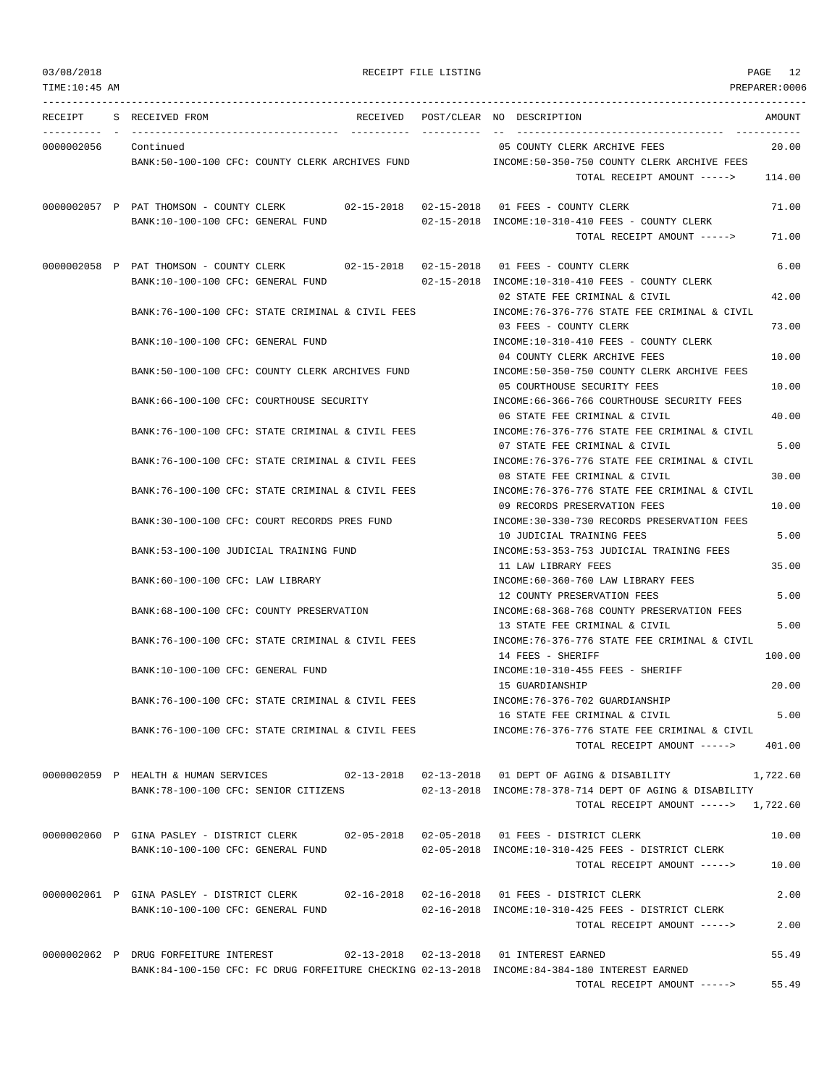--------------------------------------------------------------------------------------------------------------------------------- RECEIPT S RECEIVED FROM THE RECEIVED POST/CLEAR NO DESCRIPTION THE RECEIVED AMOUNT ---------- - ----------------------------------- ---------- ---------- -- ----------------------------------- ----------- 0000002056 Continued 05 COUNTY CLERK ARCHIVE FEES 20.00 BANK:50-100-100 CFC: COUNTY CLERK ARCHIVES FUND INCOME:50-350-750 COUNTY CLERK ARCHIVE FEES TOTAL RECEIPT AMOUNT -----> 114.00 0000002057 P PAT THOMSON - COUNTY CLERK 02-15-2018 02-15-2018 01 FEES - COUNTY CLERK 71.00 BANK:10-100-100 CFC: GENERAL FUND 02-15-2018 INCOME:10-310-410 FEES - COUNTY CLERK TOTAL RECEIPT AMOUNT -----> 71.00 0000002058 P PAT THOMSON - COUNTY CLERK 02-15-2018 02-15-2018 01 FEES - COUNTY CLERK 6.00 BANK:10-100-100 CFC: GENERAL FUND 02-15-2018 INCOME:10-310-410 FEES - COUNTY CLERK 02 STATE FEE CRIMINAL & CIVIL 42.00 BANK:76-100-100 CFC: STATE CRIMINAL & CIVIL FEES INCOME:76-376-776 STATE FEE CRIMINAL & CIVIL 03 FEES - COUNTY CLERK 73.00 BANK:10-100-100 CFC: GENERAL FUND INCOME:10-310-410 FEES - COUNTY CLERK 04 COUNTY CLERK ARCHIVE FEES 10.00 BANK:50-100-100 CFC: COUNTY CLERK ARCHIVES FUND INCOME:50-350-750 COUNTY CLERK ARCHIVE FEES 05 COURTHOUSE SECURITY FEES 10.00 BANK:66-100-100 CFC: COURTHOUSE SECURITY INCOME:66-366-766 COURTHOUSE SECURITY FEES 06 STATE FEE CRIMINAL & CIVIL 40.00 BANK:76-100-100 CFC: STATE CRIMINAL & CIVIL FEES INCOME:76-376-776 STATE FEE CRIMINAL & CIVIL 07 STATE FEE CRIMINAL & CIVIL 6 5.00 BANK:76-100-100 CFC: STATE CRIMINAL & CIVIL FEES INCOME:76-376-776 STATE FEE CRIMINAL & CIVIL 08 STATE FEE CRIMINAL & CIVIL 30.00 BANK:76-100-100 CFC: STATE CRIMINAL & CIVIL FEES INCOME:76-376-776 STATE FEE CRIMINAL & CIVIL 09 RECORDS PRESERVATION FEES 10.00 BANK:30-100-100 CFC: COURT RECORDS PRES FUND INCOME:30-330-730 RECORDS PRESERVATION FEES 10 JUDICIAL TRAINING FEES 5.00 BANK:53-100-100 JUDICIAL TRAINING FUND INCOME:53-353-753 JUDICIAL TRAINING FEES 11 LAW LIBRARY FEES 35.00 BANK:60-100-100 CFC: LAW LIBRARY INCOME:60-360-760 LAW LIBRARY FEES 12 COUNTY PRESERVATION FEES 5.00 BANK:68-100-100 CFC: COUNTY PRESERVATION INCOME:68-368-768 COUNTY PRESERVATION FEES 13 STATE FEE CRIMINAL & CIVIL 5.00 BANK:76-100-100 CFC: STATE CRIMINAL & CIVIL FEES INCOME:76-376-776 STATE FEE CRIMINAL & CIVIL 14 FEES - SHERIFF 100.00 BANK:10-100-100 CFC: GENERAL FUND INCOME:10-310-455 FEES - SHERIFF 15 GUARDIANSHIP 20.00 BANK:76-100-100 CFC: STATE CRIMINAL & CIVIL FEES INCOME:76-376-702 GUARDIANSHIP 16 STATE FEE CRIMINAL & CIVIL 5.00 BANK:76-100-100 CFC: STATE CRIMINAL & CIVIL FEES INCOME:76-376-776 STATE FEE CRIMINAL & CIVIL TOTAL RECEIPT AMOUNT -----> 401.00 0000002059 P HEALTH & HUMAN SERVICES 02-13-2018 02-13-2018 01 DEPT OF AGING & DISABILITY 1,722.60 BANK:78-100-100 CFC: SENIOR CITIZENS 02-13-2018 INCOME:78-378-714 DEPT OF AGING & DISABILITY TOTAL RECEIPT AMOUNT -----> 1,722.60 0000002060 P GINA PASLEY - DISTRICT CLERK 02-05-2018 02-05-2018 01 FEES - DISTRICT CLERK 10.00 BANK:10-100-100 CFC: GENERAL FUND 02-05-2018 INCOME:10-310-425 FEES - DISTRICT CLERK TOTAL RECEIPT AMOUNT -----> 10.00 0000002061 P GINA PASLEY - DISTRICT CLERK 02-16-2018 02-16-2018 01 FEES - DISTRICT CLERK 2.00 BANK:10-100-100 CFC: GENERAL FUND 02-16-2018 INCOME:10-310-425 FEES - DISTRICT CLERK TOTAL RECEIPT AMOUNT -----> 2.00 0000002062 P DRUG FORFEITURE INTEREST 02-13-2018 02-13-2018 01 INTEREST EARNED 55.49 BANK:84-100-150 CFC: FC DRUG FORFEITURE CHECKING 02-13-2018 INCOME:84-384-180 INTEREST EARNED

TOTAL RECEIPT AMOUNT -----> 55.49

03/08/2018 RECEIPT FILE LISTING PAGE 12 TIME:10:45 AM PREPARER:0006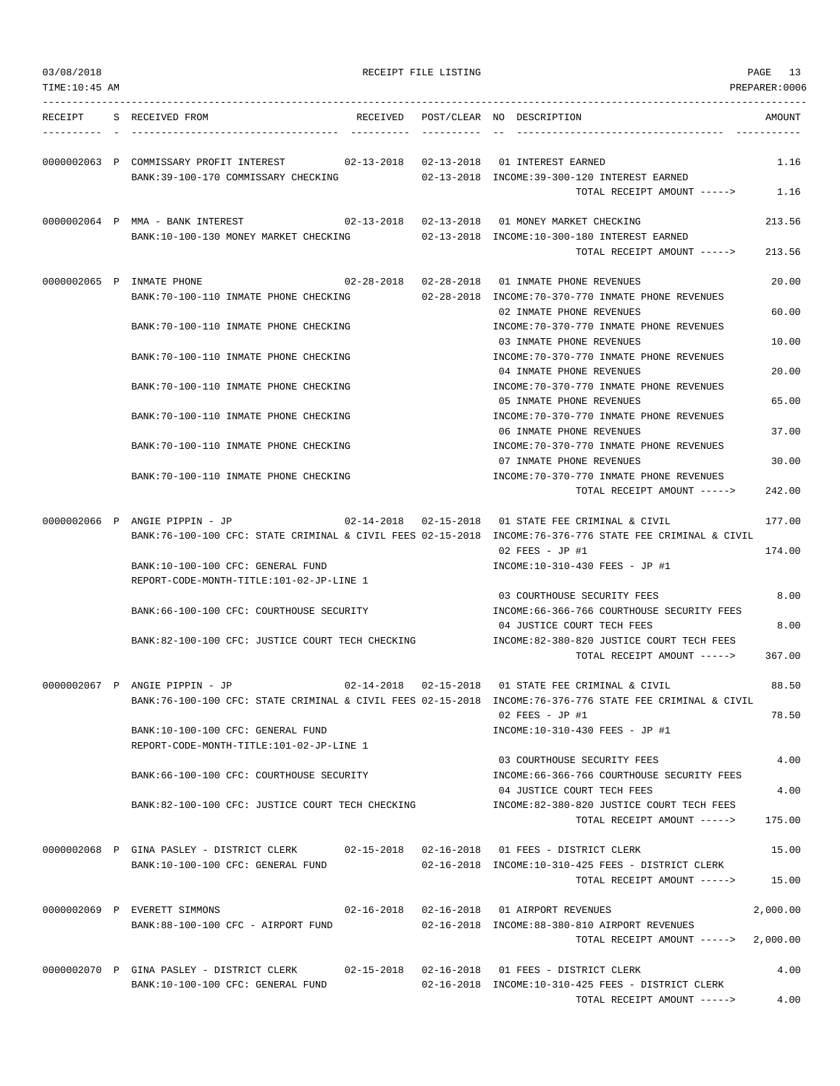| 03/08/2018<br>TIME: 10: 45 AM |                                                                                                                               | RECEIPT FILE LISTING |                                                                                                                                                                                          | PAGE 13<br>PREPARER:0006 |
|-------------------------------|-------------------------------------------------------------------------------------------------------------------------------|----------------------|------------------------------------------------------------------------------------------------------------------------------------------------------------------------------------------|--------------------------|
|                               | RECEIPT S RECEIVED FROM                                                                                                       |                      | RECEIVED POST/CLEAR NO DESCRIPTION                                                                                                                                                       | AMOUNT                   |
|                               | 0000002063 P COMMISSARY PROFIT INTEREST 602-13-2018 02-13-2018 01 INTEREST EARNED<br>BANK:39-100-170 COMMISSARY CHECKING      |                      | 02-13-2018 INCOME:39-300-120 INTEREST EARNED<br>TOTAL RECEIPT AMOUNT ----->                                                                                                              | 1.16<br>1.16             |
|                               | 0000002064 P MMA - BANK INTEREST<br>BANK:10-100-130 MONEY MARKET CHECKING                                                     |                      | 02-13-2018  02-13-2018  01 MONEY MARKET CHECKING<br>02-13-2018 INCOME:10-300-180 INTEREST EARNED<br>TOTAL RECEIPT AMOUNT ----->                                                          | 213.56<br>213.56         |
|                               | 0000002065 P INMATE PHONE<br>BANK:70-100-110 INMATE PHONE CHECKING                                                            |                      | 02-28-2018  02-28-2018  01 INMATE PHONE REVENUES<br>02-28-2018 INCOME:70-370-770 INMATE PHONE REVENUES                                                                                   | 20.00                    |
|                               | BANK:70-100-110 INMATE PHONE CHECKING                                                                                         |                      | 02 INMATE PHONE REVENUES<br>INCOME: 70-370-770 INMATE PHONE REVENUES                                                                                                                     | 60.00                    |
|                               | BANK: 70-100-110 INMATE PHONE CHECKING                                                                                        |                      | 03 INMATE PHONE REVENUES<br>INCOME: 70-370-770 INMATE PHONE REVENUES                                                                                                                     | 10.00                    |
|                               | BANK: 70-100-110 INMATE PHONE CHECKING                                                                                        |                      | 04 INMATE PHONE REVENUES<br>INCOME: 70-370-770 INMATE PHONE REVENUES<br>05 INMATE PHONE REVENUES                                                                                         | 20.00<br>65.00           |
|                               | BANK: 70-100-110 INMATE PHONE CHECKING                                                                                        |                      | INCOME: 70-370-770 INMATE PHONE REVENUES<br>06 INMATE PHONE REVENUES                                                                                                                     | 37.00                    |
|                               | BANK: 70-100-110 INMATE PHONE CHECKING                                                                                        |                      | INCOME: 70-370-770 INMATE PHONE REVENUES<br>07 INMATE PHONE REVENUES                                                                                                                     | 30.00                    |
|                               | BANK:70-100-110 INMATE PHONE CHECKING                                                                                         |                      | INCOME: 70-370-770 INMATE PHONE REVENUES<br>TOTAL RECEIPT AMOUNT ----->                                                                                                                  | 242.00                   |
|                               | 0000002066 P ANGIE PIPPIN - JP                                                                                                |                      | $02-14-2018$ $02-15-2018$ 01 STATE FEE CRIMINAL & CIVIL<br>BANK:76-100-100 CFC: STATE CRIMINAL & CIVIL FEES 02-15-2018 INCOME:76-376-776 STATE FEE CRIMINAL & CIVIL<br>$02$ FEES - JP #1 | 177.00<br>174.00         |
|                               | BANK:10-100-100 CFC: GENERAL FUND<br>REPORT-CODE-MONTH-TITLE:101-02-JP-LINE 1                                                 |                      | INCOME:10-310-430 FEES - JP #1                                                                                                                                                           |                          |
|                               | BANK:66-100-100 CFC: COURTHOUSE SECURITY                                                                                      |                      | 03 COURTHOUSE SECURITY FEES<br>INCOME: 66-366-766 COURTHOUSE SECURITY FEES                                                                                                               | 8.00                     |
|                               | BANK:82-100-100 CFC: JUSTICE COURT TECH CHECKING                                                                              |                      | 04 JUSTICE COURT TECH FEES<br>INCOME:82-380-820 JUSTICE COURT TECH FEES<br>TOTAL RECEIPT AMOUNT ----->                                                                                   | 8.00<br>367.00           |
|                               | 0000002067 P ANGIE PIPPIN - JP                                                                                                |                      | 02-14-2018  02-15-2018  01 STATE FEE CRIMINAL & CIVIL<br>BANK:76-100-100 CFC: STATE CRIMINAL & CIVIL FEES 02-15-2018 INCOME:76-376-776 STATE FEE CRIMINAL & CIVIL                        | 88.50                    |
|                               | BANK:10-100-100 CFC: GENERAL FUND<br>REPORT-CODE-MONTH-TITLE:101-02-JP-LINE 1                                                 |                      | 02 FEES - JP #1<br>INCOME:10-310-430 FEES - JP #1                                                                                                                                        | 78.50                    |
|                               | BANK:66-100-100 CFC: COURTHOUSE SECURITY                                                                                      |                      | 03 COURTHOUSE SECURITY FEES<br>INCOME: 66-366-766 COURTHOUSE SECURITY FEES                                                                                                               | 4.00                     |
|                               | BANK:82-100-100 CFC: JUSTICE COURT TECH CHECKING                                                                              |                      | 04 JUSTICE COURT TECH FEES<br>INCOME:82-380-820 JUSTICE COURT TECH FEES                                                                                                                  | 4.00                     |
|                               |                                                                                                                               |                      | TOTAL RECEIPT AMOUNT ----->                                                                                                                                                              | 175.00                   |
|                               | 0000002068 P GINA PASLEY - DISTRICT CLERK 02-15-2018 02-16-2018 01 FEES - DISTRICT CLERK<br>BANK:10-100-100 CFC: GENERAL FUND |                      | 02-16-2018 INCOME:10-310-425 FEES - DISTRICT CLERK<br>TOTAL RECEIPT AMOUNT -----> 15.00                                                                                                  | 15.00                    |
|                               | 0000002069 P EVERETT SIMMONS                                                                                                  |                      |                                                                                                                                                                                          | 2,000.00                 |
|                               | BANK:88-100-100 CFC - AIRPORT FUND                                                                                            |                      | 02-16-2018 INCOME:88-380-810 AIRPORT REVENUES<br>TOTAL RECEIPT AMOUNT ----->                                                                                                             | 2,000.00                 |
|                               | 0000002070 P GINA PASLEY - DISTRICT CLERK 02-15-2018 02-16-2018 01 FEES - DISTRICT CLERK<br>BANK:10-100-100 CFC: GENERAL FUND |                      | 02-16-2018 INCOME:10-310-425 FEES - DISTRICT CLERK<br>TOTAL RECEIPT AMOUNT ----->                                                                                                        | 4.00<br>4.00             |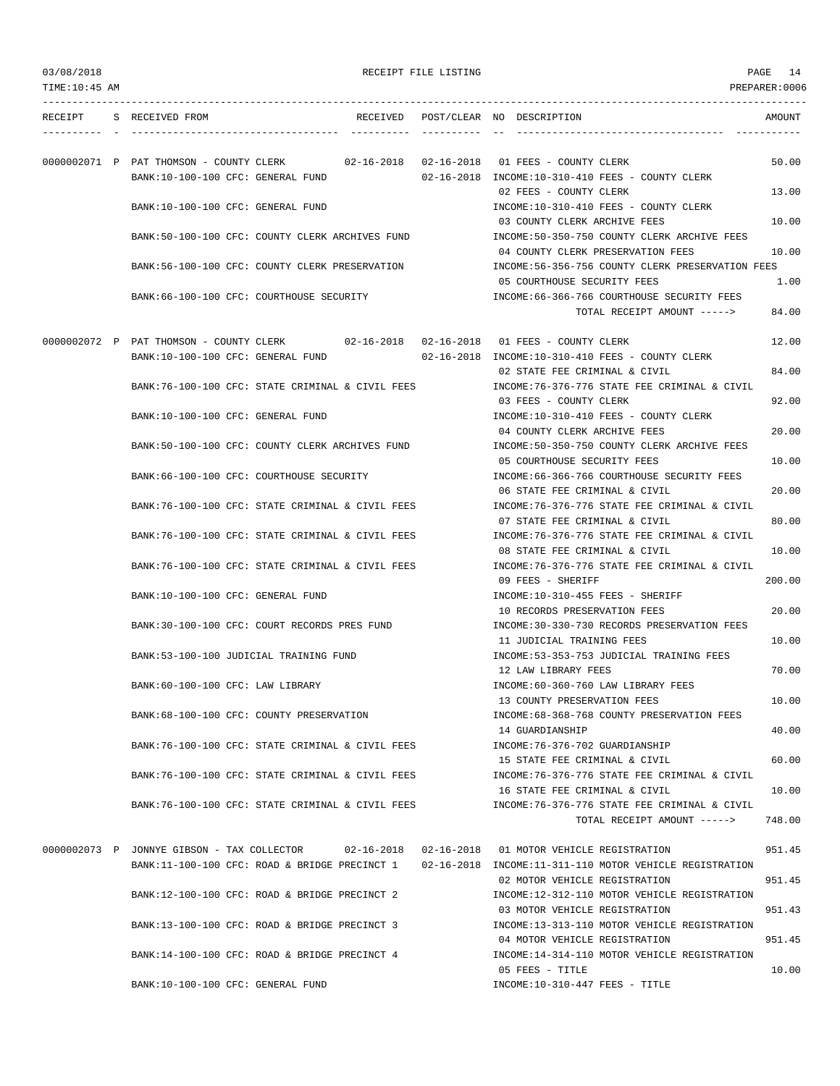| 03/08/2018     |  |                                                                              | RECEIPT FILE LISTING | PAGE 14 |                                                                                                                                        |                |
|----------------|--|------------------------------------------------------------------------------|----------------------|---------|----------------------------------------------------------------------------------------------------------------------------------------|----------------|
| TIME: 10:45 AM |  |                                                                              |                      |         |                                                                                                                                        | PREPARER: 0006 |
| RECEIPT        |  | S RECEIVED FROM                                                              |                      |         | RECEIVED POST/CLEAR NO DESCRIPTION                                                                                                     | AMOUNT         |
|                |  |                                                                              |                      |         |                                                                                                                                        |                |
|                |  | 0000002071 P PAT THOMSON - COUNTY CLERK<br>BANK:10-100-100 CFC: GENERAL FUND |                      |         | 02-16-2018 INCOME:10-310-410 FEES - COUNTY CLERK                                                                                       | 50.00          |
|                |  | BANK:10-100-100 CFC: GENERAL FUND                                            |                      |         | 02 FEES - COUNTY CLERK<br>INCOME:10-310-410 FEES - COUNTY CLERK                                                                        | 13.00          |
|                |  | BANK:50-100-100 CFC: COUNTY CLERK ARCHIVES FUND                              |                      |         | 03 COUNTY CLERK ARCHIVE FEES<br>INCOME:50-350-750 COUNTY CLERK ARCHIVE FEES                                                            | 10.00          |
|                |  | BANK:56-100-100 CFC: COUNTY CLERK PRESERVATION                               |                      |         | 04 COUNTY CLERK PRESERVATION FEES<br>INCOME:56-356-756 COUNTY CLERK PRESERVATION FEES                                                  | 10.00          |
|                |  | BANK:66-100-100 CFC: COURTHOUSE SECURITY                                     |                      |         | 05 COURTHOUSE SECURITY FEES<br>INCOME: 66-366-766 COURTHOUSE SECURITY FEES                                                             | 1.00           |
|                |  |                                                                              |                      |         | TOTAL RECEIPT AMOUNT ----->                                                                                                            | 84.00          |
|                |  |                                                                              |                      |         | 0000002072 P PAT THOMSON - COUNTY CLERK 02-16-2018 02-16-2018 01 FEES - COUNTY CLERK                                                   | 12.00          |
|                |  | BANK:10-100-100 CFC: GENERAL FUND                                            |                      |         | 02-16-2018 INCOME:10-310-410 FEES - COUNTY CLERK<br>02 STATE FEE CRIMINAL & CIVIL                                                      | 84.00          |
|                |  | BANK:76-100-100 CFC: STATE CRIMINAL & CIVIL FEES                             |                      |         | INCOME:76-376-776 STATE FEE CRIMINAL & CIVIL<br>03 FEES - COUNTY CLERK                                                                 | 92.00          |
|                |  | BANK:10-100-100 CFC: GENERAL FUND                                            |                      |         | INCOME:10-310-410 FEES - COUNTY CLERK<br>04 COUNTY CLERK ARCHIVE FEES                                                                  | 20.00          |
|                |  | BANK:50-100-100 CFC: COUNTY CLERK ARCHIVES FUND                              |                      |         | INCOME:50-350-750 COUNTY CLERK ARCHIVE FEES<br>05 COURTHOUSE SECURITY FEES                                                             | 10.00          |
|                |  | BANK: 66-100-100 CFC: COURTHOUSE SECURITY                                    |                      |         | INCOME: 66-366-766 COURTHOUSE SECURITY FEES<br>06 STATE FEE CRIMINAL & CIVIL                                                           | 20.00          |
|                |  | BANK:76-100-100 CFC: STATE CRIMINAL & CIVIL FEES                             |                      |         | INCOME: 76-376-776 STATE FEE CRIMINAL & CIVIL<br>07 STATE FEE CRIMINAL & CIVIL                                                         | 80.00          |
|                |  | BANK: 76-100-100 CFC: STATE CRIMINAL & CIVIL FEES                            |                      |         | INCOME: 76-376-776 STATE FEE CRIMINAL & CIVIL                                                                                          |                |
|                |  | BANK:76-100-100 CFC: STATE CRIMINAL & CIVIL FEES                             |                      |         | 08 STATE FEE CRIMINAL & CIVIL<br>INCOME: 76-376-776 STATE FEE CRIMINAL & CIVIL                                                         | 10.00          |
|                |  | BANK:10-100-100 CFC: GENERAL FUND                                            |                      |         | 09 FEES - SHERIFF<br>INCOME:10-310-455 FEES - SHERIFF                                                                                  | 200.00         |
|                |  | BANK:30-100-100 CFC: COURT RECORDS PRES FUND                                 |                      |         | 10 RECORDS PRESERVATION FEES<br>INCOME:30-330-730 RECORDS PRESERVATION FEES                                                            | 20.00          |
|                |  | BANK: 53-100-100 JUDICIAL TRAINING FUND                                      |                      |         | 11 JUDICIAL TRAINING FEES<br>INCOME: 53-353-753 JUDICIAL TRAINING FEES                                                                 | 10.00          |
|                |  | BANK:60-100-100 CFC: LAW LIBRARY                                             |                      |         | 12 LAW LIBRARY FEES<br>INCOME:60-360-760 LAW LIBRARY FEES                                                                              | 70.00          |
|                |  | BANK:68-100-100 CFC: COUNTY PRESERVATION                                     |                      |         | 13 COUNTY PRESERVATION FEES<br>INCOME: 68-368-768 COUNTY PRESERVATION FEES                                                             | 10.00          |
|                |  |                                                                              |                      |         | 14 GUARDIANSHIP                                                                                                                        | 40.00          |
|                |  | BANK:76-100-100 CFC: STATE CRIMINAL & CIVIL FEES                             |                      |         | INCOME: 76-376-702 GUARDIANSHIP<br>15 STATE FEE CRIMINAL & CIVIL                                                                       | 60.00          |
|                |  | BANK:76-100-100 CFC: STATE CRIMINAL & CIVIL FEES                             |                      |         | INCOME: 76-376-776 STATE FEE CRIMINAL & CIVIL<br>16 STATE FEE CRIMINAL & CIVIL                                                         | 10.00          |
|                |  | BANK:76-100-100 CFC: STATE CRIMINAL & CIVIL FEES                             |                      |         | INCOME:76-376-776 STATE FEE CRIMINAL & CIVIL<br>TOTAL RECEIPT AMOUNT ----->                                                            | 748.00         |
|                |  | 0000002073 P JONNYE GIBSON - TAX COLLECTOR                                   |                      |         | 02-16-2018 02-16-2018 01 MOTOR VEHICLE REGISTRATION                                                                                    | 951.45         |
|                |  |                                                                              |                      |         | BANK:11-100-100 CFC: ROAD & BRIDGE PRECINCT 1 02-16-2018 INCOME:11-311-110 MOTOR VEHICLE REGISTRATION<br>02 MOTOR VEHICLE REGISTRATION | 951.45         |
|                |  | BANK:12-100-100 CFC: ROAD & BRIDGE PRECINCT 2                                |                      |         | INCOME:12-312-110 MOTOR VEHICLE REGISTRATION<br>03 MOTOR VEHICLE REGISTRATION                                                          | 951.43         |

05 FEES - TITLE 10.00 BANK:10-100-100 CFC: GENERAL FUND INCOME:10-310-447 FEES - TITLE

BANK:13-100-100 CFC: ROAD & BRIDGE PRECINCT 3 INCOME:13-313-110 MOTOR VEHICLE REGISTRATION

BANK:14-100-100 CFC: ROAD & BRIDGE PRECINCT 4 INCOME:14-314-110 MOTOR VEHICLE REGISTRATION

04 MOTOR VEHICLE REGISTRATION 951.45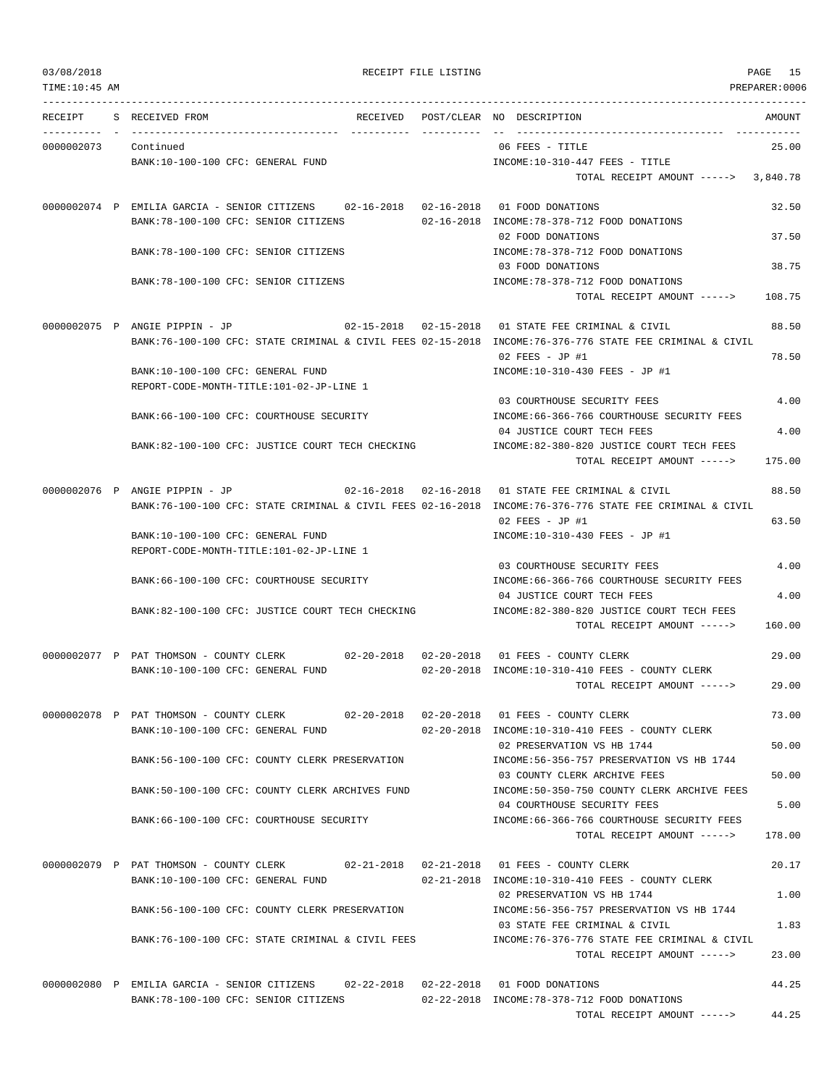TOTAL RECEIPT AMOUNT -----> 44.25

| TIME:10:45 AM |                                                                                                          |                                                                             | PREPARER:0006 |
|---------------|----------------------------------------------------------------------------------------------------------|-----------------------------------------------------------------------------|---------------|
| RECEIPT       | S RECEIVED FROM<br>RECEIVED                                                                              | POST/CLEAR NO DESCRIPTION                                                   | AMOUNT        |
| 0000002073    | Continued                                                                                                | 06 FEES - TITLE                                                             | 25.00         |
|               | BANK:10-100-100 CFC: GENERAL FUND                                                                        | INCOME:10-310-447 FEES - TITLE                                              |               |
|               |                                                                                                          | TOTAL RECEIPT AMOUNT -----> 3,840.78                                        |               |
|               | 0000002074 P EMILIA GARCIA - SENIOR CITIZENS 02-16-2018 02-16-2018 01 FOOD DONATIONS                     |                                                                             | 32.50         |
|               | BANK: 78-100-100 CFC: SENIOR CITIZENS                                                                    | 02-16-2018 INCOME: 78-378-712 FOOD DONATIONS                                |               |
|               | BANK:78-100-100 CFC: SENIOR CITIZENS                                                                     | 02 FOOD DONATIONS<br>INCOME: 78-378-712 FOOD DONATIONS                      | 37.50         |
|               |                                                                                                          | 03 FOOD DONATIONS                                                           | 38.75         |
|               | BANK: 78-100-100 CFC: SENIOR CITIZENS                                                                    | INCOME: 78-378-712 FOOD DONATIONS                                           |               |
|               |                                                                                                          | TOTAL RECEIPT AMOUNT ----->                                                 | 108.75        |
|               | 0000002075 P ANGIE PIPPIN - JP                                                                           | 02-15-2018  02-15-2018  01 STATE FEE CRIMINAL & CIVIL                       | 88.50         |
|               | BANK:76-100-100 CFC: STATE CRIMINAL & CIVIL FEES 02-15-2018 INCOME:76-376-776 STATE FEE CRIMINAL & CIVIL |                                                                             |               |
|               |                                                                                                          | $02$ FEES - JP #1<br>INCOME:10-310-430 FEES - JP #1                         | 78.50         |
|               | BANK:10-100-100 CFC: GENERAL FUND<br>REPORT-CODE-MONTH-TITLE:101-02-JP-LINE 1                            |                                                                             |               |
|               |                                                                                                          | 03 COURTHOUSE SECURITY FEES                                                 | 4.00          |
|               | BANK: 66-100-100 CFC: COURTHOUSE SECURITY                                                                | INCOME: 66-366-766 COURTHOUSE SECURITY FEES                                 |               |
|               | BANK:82-100-100 CFC: JUSTICE COURT TECH CHECKING                                                         | 04 JUSTICE COURT TECH FEES<br>INCOME:82-380-820 JUSTICE COURT TECH FEES     | 4.00          |
|               |                                                                                                          | TOTAL RECEIPT AMOUNT ----->                                                 | 175.00        |
|               | 0000002076 P ANGIE PIPPIN - JP                                                                           | 02-16-2018  02-16-2018  01 STATE FEE CRIMINAL & CIVIL                       | 88.50         |
|               | BANK:76-100-100 CFC: STATE CRIMINAL & CIVIL FEES 02-16-2018 INCOME:76-376-776 STATE FEE CRIMINAL & CIVIL |                                                                             |               |
|               |                                                                                                          | $02$ FEES - JP #1                                                           | 63.50         |
|               | BANK:10-100-100 CFC: GENERAL FUND                                                                        | INCOME:10-310-430 FEES - JP #1                                              |               |
|               | REPORT-CODE-MONTH-TITLE:101-02-JP-LINE 1                                                                 |                                                                             |               |
|               |                                                                                                          | 03 COURTHOUSE SECURITY FEES                                                 | 4.00          |
|               | BANK:66-100-100 CFC: COURTHOUSE SECURITY                                                                 | INCOME: 66-366-766 COURTHOUSE SECURITY FEES                                 | 4.00          |
|               | BANK:82-100-100 CFC: JUSTICE COURT TECH CHECKING                                                         | 04 JUSTICE COURT TECH FEES<br>INCOME:82-380-820 JUSTICE COURT TECH FEES     |               |
|               |                                                                                                          | TOTAL RECEIPT AMOUNT ----->                                                 | 160.00        |
|               | $02 - 20 - 2018$ $02 - 20 - 2018$                                                                        | 01 FEES - COUNTY CLERK                                                      | 29.00         |
|               | 0000002077 P PAT THOMSON - COUNTY CLERK<br>BANK:10-100-100 CFC: GENERAL FUND                             | 02-20-2018 INCOME:10-310-410 FEES - COUNTY CLERK                            |               |
|               |                                                                                                          | TOTAL RECEIPT AMOUNT ----->                                                 | 29.00         |
|               |                                                                                                          |                                                                             |               |
|               | 0000002078 P PAT THOMSON - COUNTY CLERK                                                                  | 02-20-2018  02-20-2018  01 FEES - COUNTY CLERK                              | 73.00         |
|               | BANK:10-100-100 CFC: GENERAL FUND                                                                        | 02-20-2018 INCOME:10-310-410 FEES - COUNTY CLERK                            |               |
|               | BANK:56-100-100 CFC: COUNTY CLERK PRESERVATION                                                           | 02 PRESERVATION VS HB 1744<br>INCOME: 56-356-757 PRESERVATION VS HB 1744    | 50.00         |
|               |                                                                                                          | 03 COUNTY CLERK ARCHIVE FEES                                                | 50.00         |
|               | BANK:50-100-100 CFC: COUNTY CLERK ARCHIVES FUND                                                          | INCOME:50-350-750 COUNTY CLERK ARCHIVE FEES                                 |               |
|               |                                                                                                          | 04 COURTHOUSE SECURITY FEES                                                 | 5.00          |
|               | BANK:66-100-100 CFC: COURTHOUSE SECURITY                                                                 | INCOME: 66-366-766 COURTHOUSE SECURITY FEES<br>TOTAL RECEIPT AMOUNT ----->  | 178.00        |
|               |                                                                                                          |                                                                             |               |
|               | 0000002079 P PAT THOMSON - COUNTY CLERK 02-21-2018 02-21-2018 01 FEES - COUNTY CLERK                     |                                                                             | 20.17         |
|               | BANK:10-100-100 CFC: GENERAL FUND                                                                        | 02-21-2018 INCOME:10-310-410 FEES - COUNTY CLERK                            |               |
|               |                                                                                                          | 02 PRESERVATION VS HB 1744                                                  | 1.00          |
|               | BANK:56-100-100 CFC: COUNTY CLERK PRESERVATION                                                           | INCOME: 56-356-757 PRESERVATION VS HB 1744                                  |               |
|               |                                                                                                          | 03 STATE FEE CRIMINAL & CIVIL                                               | 1.83          |
|               | BANK:76-100-100 CFC: STATE CRIMINAL & CIVIL FEES                                                         | INCOME:76-376-776 STATE FEE CRIMINAL & CIVIL<br>TOTAL RECEIPT AMOUNT -----> | 23.00         |
|               |                                                                                                          |                                                                             |               |
|               | 0000002080 P EMILIA GARCIA - SENIOR CITIZENS 02-22-2018 02-22-2018 01 FOOD DONATIONS                     |                                                                             | 44.25         |
|               | BANK: 78-100-100 CFC: SENIOR CITIZENS                                                                    | 02-22-2018 INCOME: 78-378-712 FOOD DONATIONS                                |               |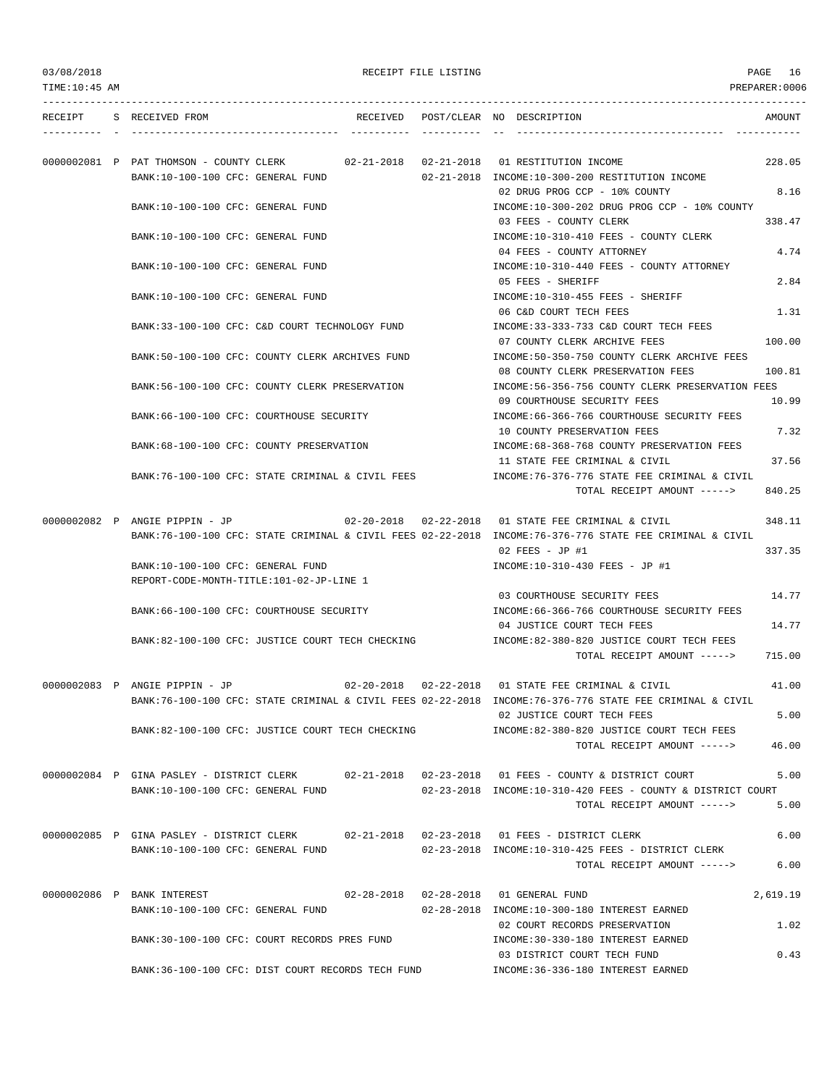03/08/2018 RECEIPT FILE LISTING PAGE 16

| RECEIPT | S RECEIVED FROM                                                                                   |  | RECEIVED POST/CLEAR NO DESCRIPTION                                                                                                                                | AMOUNT   |
|---------|---------------------------------------------------------------------------------------------------|--|-------------------------------------------------------------------------------------------------------------------------------------------------------------------|----------|
|         |                                                                                                   |  |                                                                                                                                                                   |          |
|         | 0000002081 P PAT THOMSON - COUNTY CLERK 02-21-2018 02-21-2018 01 RESTITUTION INCOME               |  |                                                                                                                                                                   | 228.05   |
|         | BANK:10-100-100 CFC: GENERAL FUND                                                                 |  | 02-21-2018 INCOME:10-300-200 RESTITUTION INCOME<br>02 DRUG PROG CCP - 10% COUNTY                                                                                  | 8.16     |
|         | BANK:10-100-100 CFC: GENERAL FUND                                                                 |  | INCOME:10-300-202 DRUG PROG CCP - 10% COUNTY                                                                                                                      |          |
|         |                                                                                                   |  | 03 FEES - COUNTY CLERK                                                                                                                                            | 338.47   |
|         | BANK:10-100-100 CFC: GENERAL FUND                                                                 |  | INCOME:10-310-410 FEES - COUNTY CLERK                                                                                                                             |          |
|         |                                                                                                   |  | 04 FEES - COUNTY ATTORNEY                                                                                                                                         | 4.74     |
|         | BANK: 10-100-100 CFC: GENERAL FUND                                                                |  | INCOME:10-310-440 FEES - COUNTY ATTORNEY                                                                                                                          |          |
|         |                                                                                                   |  | 05 FEES - SHERIFF                                                                                                                                                 | 2.84     |
|         | BANK:10-100-100 CFC: GENERAL FUND                                                                 |  | INCOME:10-310-455 FEES - SHERIFF                                                                                                                                  |          |
|         |                                                                                                   |  | 06 C&D COURT TECH FEES                                                                                                                                            | 1.31     |
|         | BANK:33-100-100 CFC: C&D COURT TECHNOLOGY FUND                                                    |  | INCOME: 33-333-733 C&D COURT TECH FEES                                                                                                                            |          |
|         |                                                                                                   |  | 07 COUNTY CLERK ARCHIVE FEES                                                                                                                                      | 100.00   |
|         | BANK:50-100-100 CFC: COUNTY CLERK ARCHIVES FUND                                                   |  | INCOME:50-350-750 COUNTY CLERK ARCHIVE FEES                                                                                                                       |          |
|         |                                                                                                   |  | 08 COUNTY CLERK PRESERVATION FEES                                                                                                                                 | 100.81   |
|         | BANK:56-100-100 CFC: COUNTY CLERK PRESERVATION                                                    |  | INCOME:56-356-756 COUNTY CLERK PRESERVATION FEES<br>09 COURTHOUSE SECURITY FEES                                                                                   | 10.99    |
|         | BANK:66-100-100 CFC: COURTHOUSE SECURITY                                                          |  | INCOME: 66-366-766 COURTHOUSE SECURITY FEES                                                                                                                       |          |
|         |                                                                                                   |  | 10 COUNTY PRESERVATION FEES                                                                                                                                       | 7.32     |
|         | BANK: 68-100-100 CFC: COUNTY PRESERVATION                                                         |  | INCOME: 68-368-768 COUNTY PRESERVATION FEES                                                                                                                       |          |
|         |                                                                                                   |  | 11 STATE FEE CRIMINAL & CIVIL                                                                                                                                     | 37.56    |
|         | BANK:76-100-100 CFC: STATE CRIMINAL & CIVIL FEES                                                  |  | INCOME:76-376-776 STATE FEE CRIMINAL & CIVIL                                                                                                                      |          |
|         |                                                                                                   |  | TOTAL RECEIPT AMOUNT ----->                                                                                                                                       | 840.25   |
|         |                                                                                                   |  |                                                                                                                                                                   |          |
|         | 0000002082 P ANGIE PIPPIN - JP                                                                    |  | 02-20-2018  02-22-2018  01 STATE FEE CRIMINAL & CIVIL<br>BANK:76-100-100 CFC: STATE CRIMINAL & CIVIL FEES 02-22-2018 INCOME:76-376-776 STATE FEE CRIMINAL & CIVIL | 348.11   |
|         |                                                                                                   |  | 02 FEES - JP #1                                                                                                                                                   | 337.35   |
|         | BANK:10-100-100 CFC: GENERAL FUND                                                                 |  | INCOME:10-310-430 FEES - JP #1                                                                                                                                    |          |
|         | REPORT-CODE-MONTH-TITLE:101-02-JP-LINE 1                                                          |  |                                                                                                                                                                   |          |
|         |                                                                                                   |  | 03 COURTHOUSE SECURITY FEES                                                                                                                                       | 14.77    |
|         | BANK:66-100-100 CFC: COURTHOUSE SECURITY                                                          |  | INCOME:66-366-766 COURTHOUSE SECURITY FEES                                                                                                                        |          |
|         |                                                                                                   |  | 04 JUSTICE COURT TECH FEES                                                                                                                                        | 14.77    |
|         | BANK:82-100-100 CFC: JUSTICE COURT TECH CHECKING                                                  |  | INCOME:82-380-820 JUSTICE COURT TECH FEES                                                                                                                         |          |
|         |                                                                                                   |  | TOTAL RECEIPT AMOUNT ----->                                                                                                                                       | 715.00   |
|         |                                                                                                   |  |                                                                                                                                                                   |          |
|         | 0000002083 P ANGIE PIPPIN - JP                                                                    |  | 02-20-2018  02-22-2018  01 STATE FEE CRIMINAL & CIVIL                                                                                                             | 41.00    |
|         |                                                                                                   |  | BANK:76-100-100 CFC: STATE CRIMINAL & CIVIL FEES 02-22-2018 INCOME:76-376-776 STATE FEE CRIMINAL & CIVIL                                                          |          |
|         |                                                                                                   |  | 02 JUSTICE COURT TECH FEES                                                                                                                                        | 5.00     |
|         | BANK:82-100-100 CFC: JUSTICE COURT TECH CHECKING                                                  |  | INCOME:82-380-820 JUSTICE COURT TECH FEES<br>TOTAL RECEIPT AMOUNT ----->                                                                                          | 46.00    |
|         |                                                                                                   |  |                                                                                                                                                                   |          |
|         | 0000002084 P GINA PASLEY - DISTRICT CLERK 02-21-2018 02-23-2018 01 FEES - COUNTY & DISTRICT COURT |  |                                                                                                                                                                   | 5.00     |
|         | BANK:10-100-100 CFC: GENERAL FUND                                                                 |  | 02-23-2018 INCOME:10-310-420 FEES - COUNTY & DISTRICT COURT                                                                                                       |          |
|         |                                                                                                   |  | TOTAL RECEIPT AMOUNT ----->                                                                                                                                       | 5.00     |
|         |                                                                                                   |  |                                                                                                                                                                   |          |
|         | 0000002085 P GINA PASLEY - DISTRICT CLERK 02-21-2018 02-23-2018 01 FEES - DISTRICT CLERK          |  |                                                                                                                                                                   | 6.00     |
|         | BANK:10-100-100 CFC: GENERAL FUND                                                                 |  | 02-23-2018 INCOME:10-310-425 FEES - DISTRICT CLERK                                                                                                                |          |
|         |                                                                                                   |  | TOTAL RECEIPT AMOUNT ----->                                                                                                                                       | 6.00     |
|         |                                                                                                   |  |                                                                                                                                                                   |          |
|         | 0000002086 P BANK INTEREST<br>BANK:10-100-100 CFC: GENERAL FUND                                   |  | 02-28-2018  02-28-2018  01 GENERAL FUND<br>02-28-2018 INCOME:10-300-180 INTEREST EARNED                                                                           | 2,619.19 |
|         |                                                                                                   |  | 02 COURT RECORDS PRESERVATION                                                                                                                                     | 1.02     |
|         | BANK:30-100-100 CFC: COURT RECORDS PRES FUND                                                      |  | INCOME: 30-330-180 INTEREST EARNED                                                                                                                                |          |
|         |                                                                                                   |  | 03 DISTRICT COURT TECH FUND                                                                                                                                       | 0.43     |

BANK:36-100-100 CFC: DIST COURT RECORDS TECH FUND INCOME:36-336-180 INTEREST EARNED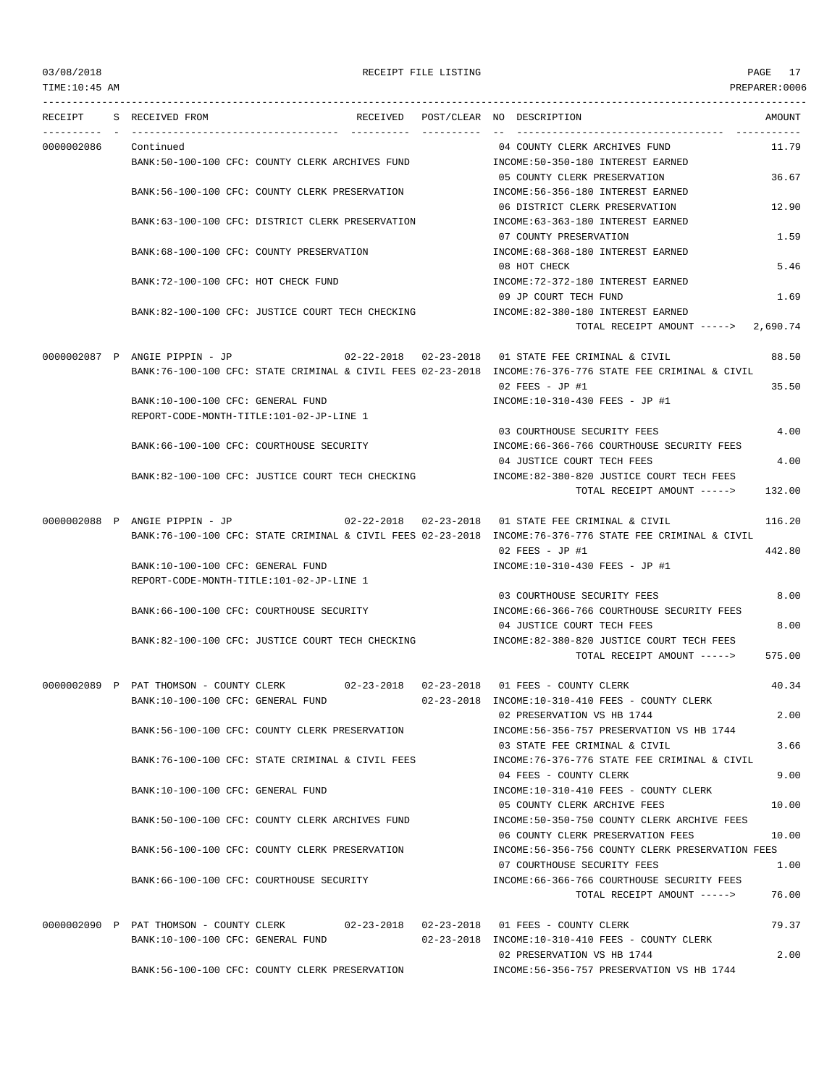TIME:10:45 AM PREPARER:0006 --------------------------------------------------------------------------------------------------------------------------------- RECEIPT S RECEIVED FROM THE RECEIVED POST/CLEAR NO DESCRIPTION THE RECEIVED AMOUNT ---------- - ----------------------------------- ---------- ---------- -- ----------------------------------- ----------- 0000002086 Continued 04 COUNTY CLERK ARCHIVES FUND 11.79 BANK:50-100-100 CFC: COUNTY CLERK ARCHIVES FUND INCOME:50-350-180 INTEREST EARNED 05 COUNTY CLERK PRESERVATION 36.67 BANK:56-100-100 CFC: COUNTY CLERK PRESERVATION INCOME:56-356-180 INTEREST EARNED 06 DISTRICT CLERK PRESERVATION 12.90 BANK:63-100-100 CFC: DISTRICT CLERK PRESERVATION INCOME:63-363-180 INTEREST EARNED 07 COUNTY PRESERVATION 1.59 BANK:68-100-100 CFC: COUNTY PRESERVATION INCOME:68-368-180 INTEREST EARNED 08 HOT CHECK 5.46 BANK:72-100-100 CFC: HOT CHECK FUND INCOME:72-372-180 INTEREST EARNED 09 JP COURT TECH FUND 1.69 BANK:82-100-100 CFC: JUSTICE COURT TECH CHECKING INCOME:82-380-180 INTEREST EARNED TOTAL RECEIPT AMOUNT -----> 2,690.74 0000002087 P ANGIE PIPPIN - JP 02-22-2018 02-23-2018 01 STATE FEE CRIMINAL & CIVIL 88.50 BANK:76-100-100 CFC: STATE CRIMINAL & CIVIL FEES 02-23-2018 INCOME:76-376-776 STATE FEE CRIMINAL & CIVIL 02 FEES - JP #1 35.50 BANK:10-100-100 CFC: GENERAL FUND INCOME:10-310-430 FEES - JP #1 REPORT-CODE-MONTH-TITLE:101-02-JP-LINE 1 03 COURTHOUSE SECURITY FEES 4.00 BANK:66-100-100 CFC: COURTHOUSE SECURITY INCOME:66-366-766 COURTHOUSE SECURITY FEES 04 JUSTICE COURT TECH FEES 4.00 BANK:82-100-100 CFC: JUSTICE COURT TECH CHECKING INCOME:82-380-820 JUSTICE COURT TECH FEES TOTAL RECEIPT AMOUNT -----> 132.00 0000002088 P ANGIE PIPPIN - JP 02-22-2018 02-23-2018 01 STATE FEE CRIMINAL & CIVIL 116.20 BANK:76-100-100 CFC: STATE CRIMINAL & CIVIL FEES 02-23-2018 INCOME:76-376-776 STATE FEE CRIMINAL & CIVIL 02 FEES - JP #1 442.80 BANK:10-100-100 CFC: GENERAL FUND **INCOME:10-310-430 FEES** - JP #1 REPORT-CODE-MONTH-TITLE:101-02-JP-LINE 1 03 COURTHOUSE SECURITY FEES 8.00 BANK:66-100-100 CFC: COURTHOUSE SECURITY INCOME:66-366-766 COURTHOUSE SECURITY FEES 04 JUSTICE COURT TECH FEES 8.00 BANK:82-100-100 CFC: JUSTICE COURT TECH CHECKING INCOME:82-380-820 JUSTICE COURT TECH FEES TOTAL RECEIPT AMOUNT -----> 575.00 0000002089 P PAT THOMSON - COUNTY CLERK 02-23-2018 02-23-2018 01 FEES - COUNTY CLERK 40.34 BANK:10-100-100 CFC: GENERAL FUND 02-23-2018 INCOME:10-310-410 FEES - COUNTY CLERK 02 PRESERVATION VS HB 1744 2.00 BANK:56-100-100 CFC: COUNTY CLERK PRESERVATION INCOME:56-356-757 PRESERVATION VS HB 1744 03 STATE FEE CRIMINAL & CIVIL 3.66 BANK:76-100-100 CFC: STATE CRIMINAL & CIVIL FEES INCOME:76-376-776 STATE FEE CRIMINAL & CIVIL 04 FEES - COUNTY CLERK 9.00 BANK:10-100-100 CFC: GENERAL FUND INCOME:10-310-410 FEES - COUNTY CLERK 05 COUNTY CLERK ARCHIVE FEES 10.00 BANK:50-100-100 CFC: COUNTY CLERK ARCHIVES FUND INCOME:50-350-750 COUNTY CLERK ARCHIVE FEES 06 COUNTY CLERK PRESERVATION FEES 10.00 BANK:56-100-100 CFC: COUNTY CLERK PRESERVATION INCOME:56-356-756 COUNTY CLERK PRESERVATION FEES 07 COURTHOUSE SECURITY FEES 1.00 BANK:66-100-100 CFC: COURTHOUSE SECURITY INCOME:66-366-766 COURTHOUSE SECURITY FEES TOTAL RECEIPT AMOUNT -----> 76.00 0000002090 P PAT THOMSON - COUNTY CLERK 02-23-2018 02-23-2018 01 FEES - COUNTY CLERK 79.37 BANK:10-100-100 CFC: GENERAL FUND 02-23-2018 INCOME:10-310-410 FEES - COUNTY CLERK 02 PRESERVATION VS HB 1744 2.00 BANK:56-100-100 CFC: COUNTY CLERK PRESERVATION INCOME:56-356-757 PRESERVATION VS HB 1744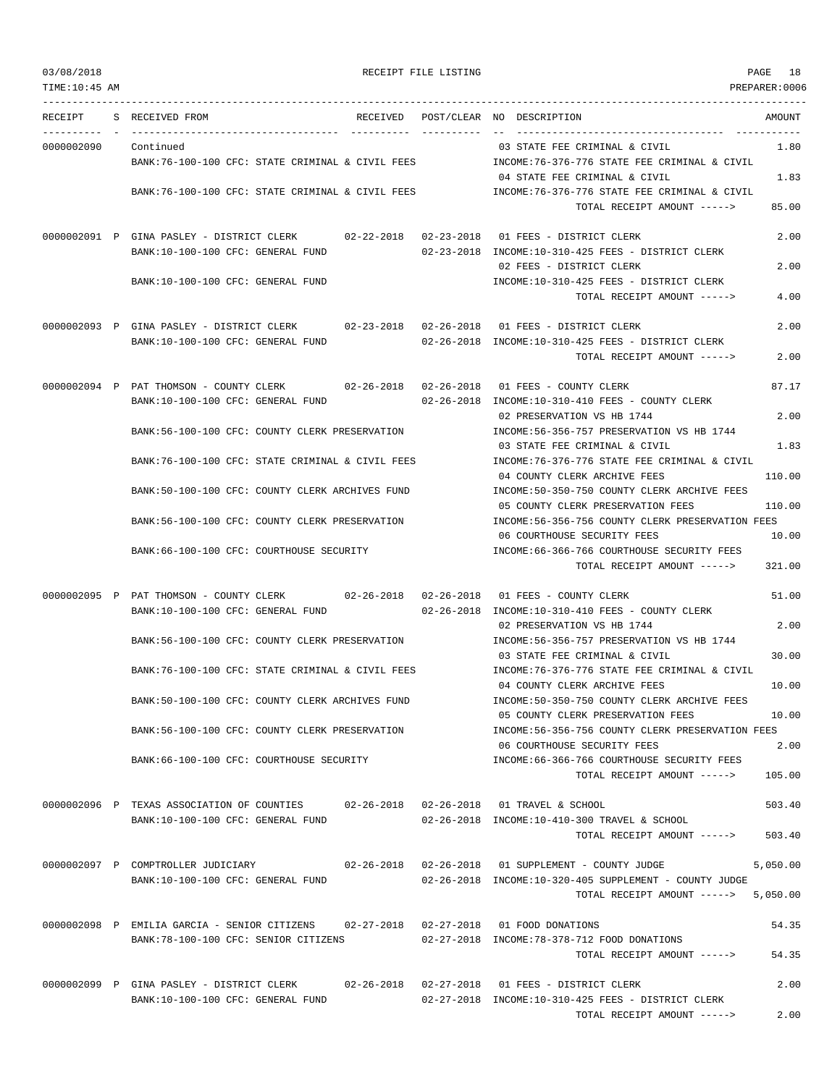TIME:10:45 AM PREPARER:0006 --------------------------------------------------------------------------------------------------------------------------------- RECEIPT S RECEIVED FROM THE RECEIVED POST/CLEAR NO DESCRIPTION THE RECEIVED AMOUNT ---------- - ----------------------------------- ---------- ---------- -- ----------------------------------- ----------- 0000002090 Continued 03 STATE FEE CRIMINAL & CIVIL 1.80 BANK:76-100-100 CFC: STATE CRIMINAL & CIVIL FEES INCOME:76-376-776 STATE FEE CRIMINAL & CIVIL 04 STATE FEE CRIMINAL & CIVIL 1.83 BANK:76-100-100 CFC: STATE CRIMINAL & CIVIL FEES INCOME:76-376-776 STATE FEE CRIMINAL & CIVIL TOTAL RECEIPT AMOUNT -----> 85.00 0000002091 P GINA PASLEY - DISTRICT CLERK 02-22-2018 02-23-2018 01 FEES - DISTRICT CLERK 2.00 BANK:10-100-100 CFC: GENERAL FUND 02-23-2018 INCOME:10-310-425 FEES - DISTRICT CLERK 02 FEES - DISTRICT CLERK 2.00 BANK:10-100-100 CFC: GENERAL FUND INCOME:10-310-425 FEES - DISTRICT CLERK TOTAL RECEIPT AMOUNT -----> 4.00 0000002093 P GINA PASLEY - DISTRICT CLERK 02-23-2018 02-26-2018 01 FEES - DISTRICT CLERK 2.00 BANK:10-100-100 CFC: GENERAL FUND 02-26-2018 INCOME:10-310-425 FEES - DISTRICT CLERK TOTAL RECEIPT AMOUNT -----> 2.00 0000002094 P PAT THOMSON - COUNTY CLERK 02-26-2018 02-26-2018 01 FEES - COUNTY CLERK 87.17 BANK:10-100-100 CFC: GENERAL FUND 02-26-2018 INCOME:10-310-410 FEES - COUNTY CLERK 02 PRESERVATION VS HB 1744 2.00 BANK:56-100-100 CFC: COUNTY CLERK PRESERVATION INCOME:56-356-757 PRESERVATION VS HB 1744 03 STATE FEE CRIMINAL & CIVIL 1.83 BANK:76-100-100 CFC: STATE CRIMINAL & CIVIL FEES INCOME:76-376-776 STATE FEE CRIMINAL & CIVIL 04 COUNTY CLERK ARCHIVE FEES 110.00 BANK:50-100-100 CFC: COUNTY CLERK ARCHIVES FUND INCOME:50-350-750 COUNTY CLERK ARCHIVE FEES 05 COUNTY CLERK PRESERVATION FEES 110.00 BANK:56-100-100 CFC: COUNTY CLERK PRESERVATION INCOME:56-356-756 COUNTY CLERK PRESERVATION FEES 06 COURTHOUSE SECURITY FEES 10.00 BANK:66-100-100 CFC: COURTHOUSE SECURITY INCOME:66-366-766 COURTHOUSE SECURITY FEES TOTAL RECEIPT AMOUNT -----> 321.00 0000002095 P PAT THOMSON - COUNTY CLERK 02-26-2018 02-26-2018 01 FEES - COUNTY CLERK 51.00 BANK:10-100-100 CFC: GENERAL FUND 02-26-2018 INCOME:10-310-410 FEES - COUNTY CLERK 02 PRESERVATION VS HB 1744 2.00 BANK:56-100-100 CFC: COUNTY CLERK PRESERVATION INCOME:56-356-757 PRESERVATION VS HB 1744 03 STATE FEE CRIMINAL & CIVIL 30 00 BANK:76-100-100 CFC: STATE CRIMINAL & CIVIL FEES INCOME:76-376-776 STATE FEE CRIMINAL & CIVIL 04 COUNTY CLERK ARCHIVE FEES 10.00 BANK:50-100-100 CFC: COUNTY CLERK ARCHIVES FUND INCOME:50-350-750 COUNTY CLERK ARCHIVE FEES 05 COUNTY CLERK PRESERVATION FEES 10.00 BANK:56-100-100 CFC: COUNTY CLERK PRESERVATION INCOME:56-356-756 COUNTY CLERK PRESERVATION FEES 06 COURTHOUSE SECURITY FEES 2.00 BANK:66-100-100 CFC: COURTHOUSE SECURITY INCOME:66-366-766 COURTHOUSE SECURITY FEES TOTAL RECEIPT AMOUNT -----> 105.00 0000002096 P TEXAS ASSOCIATION OF COUNTIES 02-26-2018 02-26-2018 01 TRAVEL & SCHOOL 503.40 BANK:10-100-100 CFC: GENERAL FUND 02-26-2018 INCOME:10-410-300 TRAVEL & SCHOOL TOTAL RECEIPT AMOUNT -----> 503.40 0000002097 P COMPTROLLER JUDICIARY 02-26-2018 02-26-2018 01 SUPPLEMENT - COUNTY JUDGE 5,050.00 BANK:10-100-100 CFC: GENERAL FUND 02-26-2018 INCOME:10-320-405 SUPPLEMENT - COUNTY JUDGE TOTAL RECEIPT AMOUNT -----> 5,050.00 0000002098 P EMILIA GARCIA - SENIOR CITIZENS 02-27-2018 02-27-2018 01 FOOD DONATIONS 54.35 BANK:78-100-100 CFC: SENIOR CITIZENS 02-27-2018 INCOME:78-378-712 FOOD DONATIONS TOTAL RECEIPT AMOUNT -----> 54.35 0000002099 P GINA PASLEY - DISTRICT CLERK 02-26-2018 02-27-2018 01 FEES - DISTRICT CLERK 2.00 BANK:10-100-100 CFC: GENERAL FUND 02-27-2018 INCOME:10-310-425 FEES - DISTRICT CLERK TOTAL RECEIPT AMOUNT -----> 2.00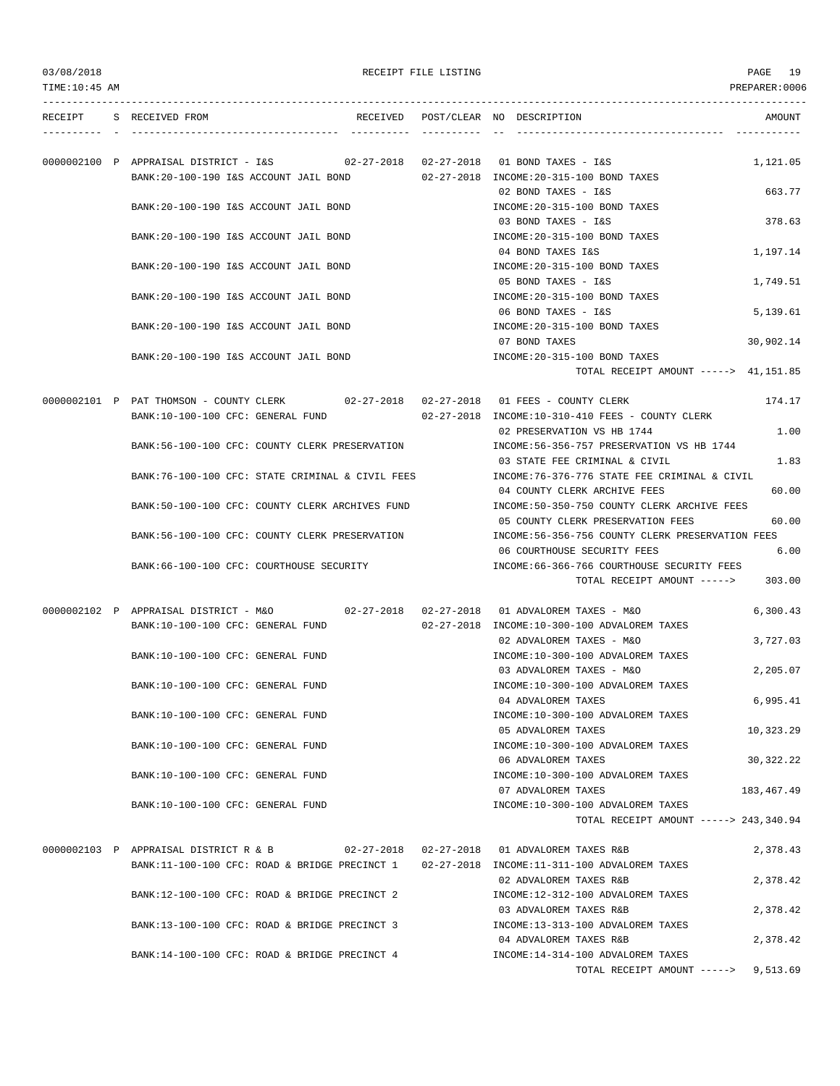TOTAL RECEIPT AMOUNT -----> 9,513.69

| RECEIPT | S RECEIVED FROM                                                                      | RECEIVED POST/CLEAR NO DESCRIPTION<br>AMOUNT                            |
|---------|--------------------------------------------------------------------------------------|-------------------------------------------------------------------------|
|         | 0000002100 P APPRAISAL DISTRICT - I&S 02-27-2018 02-27-2018 01 BOND TAXES - I&S      | 1,121.05                                                                |
|         | BANK:20-100-190 I&S ACCOUNT JAIL BOND                                                | 02-27-2018 INCOME:20-315-100 BOND TAXES                                 |
|         |                                                                                      | 663.77<br>02 BOND TAXES - I&S                                           |
|         | BANK: 20-100-190 I&S ACCOUNT JAIL BOND                                               | INCOME: 20-315-100 BOND TAXES                                           |
|         |                                                                                      | 03 BOND TAXES - I&S<br>378.63                                           |
|         | BANK:20-100-190 I&S ACCOUNT JAIL BOND                                                | INCOME: 20-315-100 BOND TAXES                                           |
|         |                                                                                      | 04 BOND TAXES I&S<br>1,197.14                                           |
|         | BANK: 20-100-190 I&S ACCOUNT JAIL BOND                                               | INCOME: 20-315-100 BOND TAXES                                           |
|         |                                                                                      | 05 BOND TAXES - I&S<br>1,749.51                                         |
|         | BANK:20-100-190 I&S ACCOUNT JAIL BOND                                                | INCOME: 20-315-100 BOND TAXES                                           |
|         |                                                                                      | 06 BOND TAXES - I&S<br>5,139.61                                         |
|         | BANK: 20-100-190 I&S ACCOUNT JAIL BOND                                               | INCOME: 20-315-100 BOND TAXES<br>07 BOND TAXES                          |
|         | BANK: 20-100-190 I&S ACCOUNT JAIL BOND                                               | 30,902.14<br>INCOME: 20-315-100 BOND TAXES                              |
|         |                                                                                      | TOTAL RECEIPT AMOUNT -----> 41,151.85                                   |
|         |                                                                                      |                                                                         |
|         | 0000002101 P PAT THOMSON - COUNTY CLERK 02-27-2018 02-27-2018 01 FEES - COUNTY CLERK | 174.17                                                                  |
|         | BANK:10-100-100 CFC: GENERAL FUND                                                    | 02-27-2018 INCOME:10-310-410 FEES - COUNTY CLERK                        |
|         |                                                                                      | 1.00<br>02 PRESERVATION VS HB 1744                                      |
|         | BANK:56-100-100 CFC: COUNTY CLERK PRESERVATION                                       | INCOME: 56-356-757 PRESERVATION VS HB 1744                              |
|         |                                                                                      | 1.83<br>03 STATE FEE CRIMINAL & CIVIL                                   |
|         | BANK:76-100-100 CFC: STATE CRIMINAL & CIVIL FEES                                     | INCOME: 76-376-776 STATE FEE CRIMINAL & CIVIL                           |
|         |                                                                                      | 60.00<br>04 COUNTY CLERK ARCHIVE FEES                                   |
|         | BANK:50-100-100 CFC: COUNTY CLERK ARCHIVES FUND                                      | INCOME:50-350-750 COUNTY CLERK ARCHIVE FEES                             |
|         |                                                                                      | 60.00<br>05 COUNTY CLERK PRESERVATION FEES                              |
|         | BANK:56-100-100 CFC: COUNTY CLERK PRESERVATION                                       | INCOME:56-356-756 COUNTY CLERK PRESERVATION FEES                        |
|         |                                                                                      | 6.00<br>06 COURTHOUSE SECURITY FEES                                     |
|         | BANK:66-100-100 CFC: COURTHOUSE SECURITY                                             | INCOME:66-366-766 COURTHOUSE SECURITY FEES                              |
|         |                                                                                      | 303.00<br>TOTAL RECEIPT AMOUNT ----->                                   |
|         |                                                                                      | 6,300.43                                                                |
|         | BANK:10-100-100 CFC: GENERAL FUND                                                    | 02-27-2018 INCOME:10-300-100 ADVALOREM TAXES                            |
|         |                                                                                      | 02 ADVALOREM TAXES - M&O<br>3,727.03                                    |
|         | BANK:10-100-100 CFC: GENERAL FUND                                                    | INCOME:10-300-100 ADVALOREM TAXES                                       |
|         |                                                                                      | 2,205.07<br>03 ADVALOREM TAXES - M&O                                    |
|         | BANK:10-100-100 CFC: GENERAL FUND                                                    | INCOME:10-300-100 ADVALOREM TAXES                                       |
|         |                                                                                      | 6,995.41<br>04 ADVALOREM TAXES                                          |
|         | BANK:10-100-100 CFC: GENERAL FUND                                                    | INCOME:10-300-100 ADVALOREM TAXES                                       |
|         |                                                                                      | 05 ADVALOREM TAXES<br>10,323.29                                         |
|         | BANK:10-100-100 CFC: GENERAL FUND                                                    | INCOME:10-300-100 ADVALOREM TAXES                                       |
|         |                                                                                      | 06 ADVALOREM TAXES<br>30, 322. 22                                       |
|         | BANK:10-100-100 CFC: GENERAL FUND                                                    | INCOME:10-300-100 ADVALOREM TAXES                                       |
|         |                                                                                      | 07 ADVALOREM TAXES<br>183,467.49                                        |
|         | BANK:10-100-100 CFC: GENERAL FUND                                                    | INCOME:10-300-100 ADVALOREM TAXES                                       |
|         |                                                                                      | TOTAL RECEIPT AMOUNT -----> 243,340.94                                  |
|         |                                                                                      |                                                                         |
|         | 0000002103 P APPRAISAL DISTRICT R & B                                                | 02-27-2018  02-27-2018  01 ADVALOREM TAXES R&B<br>2,378.43              |
|         | BANK:11-100-100 CFC: ROAD & BRIDGE PRECINCT 1                                        | 02-27-2018 INCOME:11-311-100 ADVALOREM TAXES                            |
|         |                                                                                      | 02 ADVALOREM TAXES R&B<br>2,378.42                                      |
|         | BANK:12-100-100 CFC: ROAD & BRIDGE PRECINCT 2                                        | INCOME:12-312-100 ADVALOREM TAXES                                       |
|         |                                                                                      | 03 ADVALOREM TAXES R&B<br>2,378.42                                      |
|         | BANK:13-100-100 CFC: ROAD & BRIDGE PRECINCT 3                                        | INCOME:13-313-100 ADVALOREM TAXES<br>04 ADVALOREM TAXES R&B<br>2,378.42 |
|         | BANK:14-100-100 CFC: ROAD & BRIDGE PRECINCT 4                                        | INCOME:14-314-100 ADVALOREM TAXES                                       |
|         |                                                                                      |                                                                         |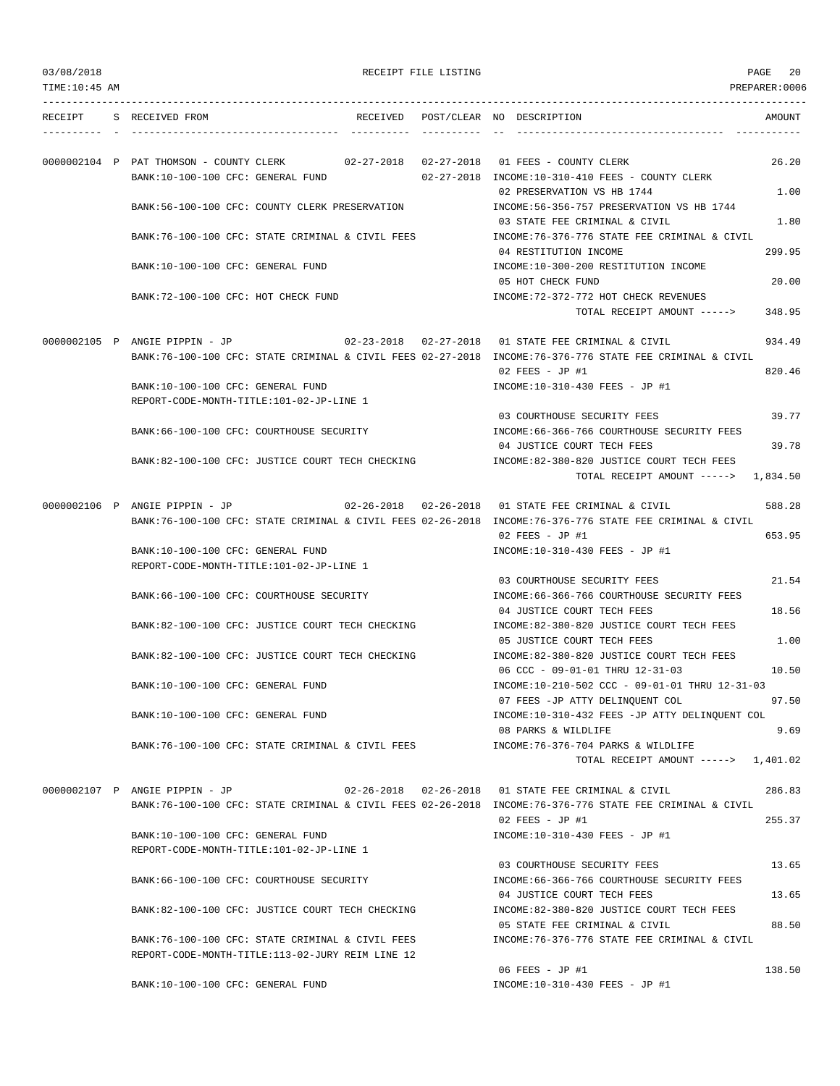|  | 03/08/2018 |  |
|--|------------|--|
|  |            |  |

PAGE 20

|  | RECEIPT S RECEIVED FROM                  |                                                                                      |  | RECEIVED POST/CLEAR NO DESCRIPTION                                                                                                                                                             | AMOUNT |
|--|------------------------------------------|--------------------------------------------------------------------------------------|--|------------------------------------------------------------------------------------------------------------------------------------------------------------------------------------------------|--------|
|  |                                          |                                                                                      |  |                                                                                                                                                                                                |        |
|  |                                          |                                                                                      |  |                                                                                                                                                                                                |        |
|  |                                          | 0000002104 P PAT THOMSON - COUNTY CLERK 02-27-2018 02-27-2018 01 FEES - COUNTY CLERK |  |                                                                                                                                                                                                | 26.20  |
|  | BANK:10-100-100 CFC: GENERAL FUND        |                                                                                      |  | 02-27-2018 INCOME:10-310-410 FEES - COUNTY CLERK                                                                                                                                               |        |
|  |                                          |                                                                                      |  | 02 PRESERVATION VS HB 1744                                                                                                                                                                     | 1.00   |
|  |                                          | BANK:56-100-100 CFC: COUNTY CLERK PRESERVATION                                       |  | INCOME: 56-356-757 PRESERVATION VS HB 1744                                                                                                                                                     |        |
|  |                                          | BANK:76-100-100 CFC: STATE CRIMINAL & CIVIL FEES                                     |  | 03 STATE FEE CRIMINAL & CIVIL<br>INCOME: 76-376-776 STATE FEE CRIMINAL & CIVIL                                                                                                                 | 1.80   |
|  |                                          |                                                                                      |  | 04 RESTITUTION INCOME                                                                                                                                                                          | 299.95 |
|  | BANK:10-100-100 CFC: GENERAL FUND        |                                                                                      |  | INCOME:10-300-200 RESTITUTION INCOME                                                                                                                                                           |        |
|  |                                          |                                                                                      |  | 05 HOT CHECK FUND                                                                                                                                                                              | 20.00  |
|  | BANK:72-100-100 CFC: HOT CHECK FUND      |                                                                                      |  | INCOME: 72-372-772 HOT CHECK REVENUES                                                                                                                                                          |        |
|  |                                          |                                                                                      |  | TOTAL RECEIPT AMOUNT ----->                                                                                                                                                                    | 348.95 |
|  |                                          |                                                                                      |  |                                                                                                                                                                                                |        |
|  |                                          |                                                                                      |  | 0000002105 P ANGIE PIPPIN - JP 02-23-2018 02-27-2018 01 STATE FEE CRIMINAL & CIVIL                                                                                                             | 934.49 |
|  |                                          |                                                                                      |  | BANK:76-100-100 CFC: STATE CRIMINAL & CIVIL FEES 02-27-2018 INCOME:76-376-776 STATE FEE CRIMINAL & CIVIL                                                                                       |        |
|  |                                          |                                                                                      |  | $02$ FEES - JP #1                                                                                                                                                                              | 820.46 |
|  | BANK:10-100-100 CFC: GENERAL FUND        |                                                                                      |  | INCOME:10-310-430 FEES - JP #1                                                                                                                                                                 |        |
|  | REPORT-CODE-MONTH-TITLE:101-02-JP-LINE 1 |                                                                                      |  |                                                                                                                                                                                                |        |
|  |                                          |                                                                                      |  | 03 COURTHOUSE SECURITY FEES                                                                                                                                                                    | 39.77  |
|  |                                          | BANK:66-100-100 CFC: COURTHOUSE SECURITY                                             |  | INCOME: 66-366-766 COURTHOUSE SECURITY FEES                                                                                                                                                    |        |
|  |                                          |                                                                                      |  | 04 JUSTICE COURT TECH FEES                                                                                                                                                                     | 39.78  |
|  |                                          | BANK:82-100-100 CFC: JUSTICE COURT TECH CHECKING                                     |  | INCOME:82-380-820 JUSTICE COURT TECH FEES                                                                                                                                                      |        |
|  |                                          |                                                                                      |  | TOTAL RECEIPT AMOUNT $--- $ 1,834.50                                                                                                                                                           |        |
|  |                                          |                                                                                      |  |                                                                                                                                                                                                |        |
|  |                                          |                                                                                      |  | 0000002106 P ANGIE PIPPIN - JP 02-26-2018 02-26-2018 01 STATE FEE CRIMINAL & CIVIL<br>BANK:76-100-100 CFC: STATE CRIMINAL & CIVIL FEES 02-26-2018 INCOME:76-376-776 STATE FEE CRIMINAL & CIVIL | 588.28 |
|  |                                          |                                                                                      |  | $02$ FEES - JP #1                                                                                                                                                                              | 653.95 |
|  | BANK:10-100-100 CFC: GENERAL FUND        |                                                                                      |  | INCOME:10-310-430 FEES - JP #1                                                                                                                                                                 |        |
|  | REPORT-CODE-MONTH-TITLE:101-02-JP-LINE 1 |                                                                                      |  |                                                                                                                                                                                                |        |
|  |                                          |                                                                                      |  | 03 COURTHOUSE SECURITY FEES                                                                                                                                                                    | 21.54  |
|  |                                          | BANK:66-100-100 CFC: COURTHOUSE SECURITY                                             |  | INCOME: 66-366-766 COURTHOUSE SECURITY FEES                                                                                                                                                    |        |
|  |                                          |                                                                                      |  | 04 JUSTICE COURT TECH FEES                                                                                                                                                                     | 18.56  |
|  |                                          | BANK:82-100-100 CFC: JUSTICE COURT TECH CHECKING                                     |  | INCOME: 82-380-820 JUSTICE COURT TECH FEES                                                                                                                                                     |        |
|  |                                          |                                                                                      |  | 05 JUSTICE COURT TECH FEES                                                                                                                                                                     | 1.00   |
|  |                                          | BANK:82-100-100 CFC: JUSTICE COURT TECH CHECKING                                     |  | INCOME:82-380-820 JUSTICE COURT TECH FEES                                                                                                                                                      |        |
|  |                                          |                                                                                      |  | 06 CCC - 09-01-01 THRU 12-31-03                                                                                                                                                                | 10.50  |
|  | BANK:10-100-100 CFC: GENERAL FUND        |                                                                                      |  | INCOME:10-210-502 CCC - 09-01-01 THRU 12-31-03                                                                                                                                                 |        |
|  |                                          |                                                                                      |  | 07 FEES -JP ATTY DELINQUENT COL                                                                                                                                                                | 97.50  |
|  | BANK:10-100-100 CFC: GENERAL FUND        |                                                                                      |  | INCOME:10-310-432 FEES -JP ATTY DELINQUENT COL                                                                                                                                                 |        |
|  |                                          |                                                                                      |  | 08 PARKS & WILDLIFE                                                                                                                                                                            | 9.69   |
|  |                                          | BANK:76-100-100 CFC: STATE CRIMINAL & CIVIL FEES                                     |  | INCOME: 76-376-704 PARKS & WILDLIFE                                                                                                                                                            |        |
|  |                                          |                                                                                      |  | TOTAL RECEIPT AMOUNT $--- $ 1,401.02                                                                                                                                                           |        |
|  |                                          |                                                                                      |  |                                                                                                                                                                                                |        |
|  | 0000002107 P ANGIE PIPPIN - JP           |                                                                                      |  | 02-26-2018  02-26-2018  01 STATE FEE CRIMINAL & CIVIL                                                                                                                                          | 286.83 |
|  |                                          |                                                                                      |  | BANK:76-100-100 CFC: STATE CRIMINAL & CIVIL FEES 02-26-2018 INCOME:76-376-776 STATE FEE CRIMINAL & CIVIL<br>$02$ FEES - JP #1                                                                  | 255.37 |
|  | BANK:10-100-100 CFC: GENERAL FUND        |                                                                                      |  | INCOME:10-310-430 FEES - JP #1                                                                                                                                                                 |        |
|  | REPORT-CODE-MONTH-TITLE:101-02-JP-LINE 1 |                                                                                      |  |                                                                                                                                                                                                |        |
|  |                                          |                                                                                      |  | 03 COURTHOUSE SECURITY FEES                                                                                                                                                                    | 13.65  |
|  |                                          | BANK:66-100-100 CFC: COURTHOUSE SECURITY                                             |  | INCOME: 66-366-766 COURTHOUSE SECURITY FEES                                                                                                                                                    |        |
|  |                                          |                                                                                      |  | 04 JUSTICE COURT TECH FEES                                                                                                                                                                     | 13.65  |
|  |                                          | BANK:82-100-100 CFC: JUSTICE COURT TECH CHECKING                                     |  | INCOME:82-380-820 JUSTICE COURT TECH FEES                                                                                                                                                      |        |
|  |                                          |                                                                                      |  | 05 STATE FEE CRIMINAL & CIVIL                                                                                                                                                                  | 88.50  |
|  |                                          | BANK:76-100-100 CFC: STATE CRIMINAL & CIVIL FEES                                     |  | INCOME: 76-376-776 STATE FEE CRIMINAL & CIVIL                                                                                                                                                  |        |
|  |                                          | REPORT-CODE-MONTH-TITLE:113-02-JURY REIM LINE 12                                     |  |                                                                                                                                                                                                |        |
|  |                                          |                                                                                      |  | 06 FEES - JP #1                                                                                                                                                                                | 138.50 |
|  | BANK:10-100-100 CFC: GENERAL FUND        |                                                                                      |  | INCOME:10-310-430 FEES - JP #1                                                                                                                                                                 |        |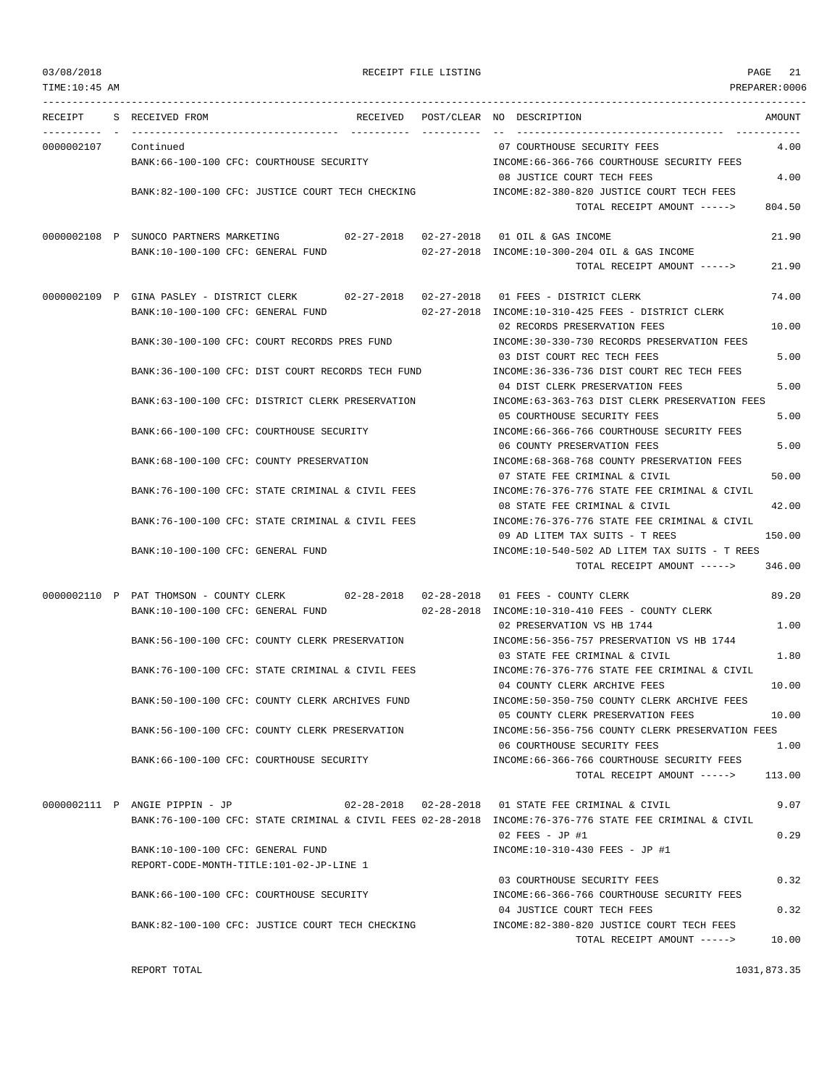| 03/08/2018    | RECEIPT FILE LISTING                                                               | PAGE                                                                                                     | 21     |
|---------------|------------------------------------------------------------------------------------|----------------------------------------------------------------------------------------------------------|--------|
| TIME:10:45 AM |                                                                                    | PREPARER:0006                                                                                            |        |
| RECEIPT       | S RECEIVED FROM<br>RECEIVED<br>-----------------                                   | POST/CLEAR NO DESCRIPTION<br>___________________________________                                         | AMOUNT |
| 0000002107    | Continued                                                                          | 07 COURTHOUSE SECURITY FEES                                                                              | 4.00   |
|               | BANK: 66-100-100 CFC: COURTHOUSE SECURITY                                          | INCOME: 66-366-766 COURTHOUSE SECURITY FEES                                                              |        |
|               |                                                                                    | 08 JUSTICE COURT TECH FEES                                                                               | 4.00   |
|               | BANK:82-100-100 CFC: JUSTICE COURT TECH CHECKING                                   | INCOME:82-380-820 JUSTICE COURT TECH FEES                                                                |        |
|               |                                                                                    | TOTAL RECEIPT AMOUNT ----->                                                                              | 804.50 |
|               | 0000002108 P SUNOCO PARTNERS MARKETING $02-27-2018$ 02-27-2018 01 OIL & GAS INCOME |                                                                                                          | 21.90  |
|               | BANK:10-100-100 CFC: GENERAL FUND                                                  | 02-27-2018 INCOME:10-300-204 OIL & GAS INCOME                                                            |        |
|               |                                                                                    | TOTAL RECEIPT AMOUNT ----->                                                                              | 21.90  |
|               | 0000002109 P GINA PASLEY - DISTRICT CLERK<br>$02 - 27 - 2018$ 02-27-2018           | 01 FEES - DISTRICT CLERK                                                                                 | 74.00  |
|               | BANK:10-100-100 CFC: GENERAL FUND                                                  | 02-27-2018 INCOME:10-310-425 FEES - DISTRICT CLERK                                                       |        |
|               |                                                                                    | 02 RECORDS PRESERVATION FEES                                                                             | 10.00  |
|               | BANK: 30-100-100 CFC: COURT RECORDS PRES FUND                                      | INCOME: 30-330-730 RECORDS PRESERVATION FEES                                                             |        |
|               |                                                                                    | 03 DIST COURT REC TECH FEES                                                                              | 5.00   |
|               | BANK:36-100-100 CFC: DIST COURT RECORDS TECH FUND                                  | INCOME: 36-336-736 DIST COURT REC TECH FEES<br>04 DIST CLERK PRESERVATION FEES                           | 5.00   |
|               | BANK:63-100-100 CFC: DISTRICT CLERK PRESERVATION                                   | INCOME:63-363-763 DIST CLERK PRESERVATION FEES                                                           |        |
|               |                                                                                    | 05 COURTHOUSE SECURITY FEES                                                                              | 5.00   |
|               | BANK:66-100-100 CFC: COURTHOUSE SECURITY                                           | INCOME: 66-366-766 COURTHOUSE SECURITY FEES                                                              |        |
|               |                                                                                    | 06 COUNTY PRESERVATION FEES                                                                              | 5.00   |
|               | BANK:68-100-100 CFC: COUNTY PRESERVATION                                           | INCOME: 68-368-768 COUNTY PRESERVATION FEES                                                              |        |
|               |                                                                                    | 07 STATE FEE CRIMINAL & CIVIL                                                                            | 50.00  |
|               | BANK:76-100-100 CFC: STATE CRIMINAL & CIVIL FEES                                   | INCOME: 76-376-776 STATE FEE CRIMINAL & CIVIL                                                            |        |
|               |                                                                                    | 08 STATE FEE CRIMINAL & CIVIL                                                                            | 42.00  |
|               | BANK:76-100-100 CFC: STATE CRIMINAL & CIVIL FEES                                   | INCOME:76-376-776 STATE FEE CRIMINAL & CIVIL<br>09 AD LITEM TAX SUITS - T REES                           | 150.00 |
|               | BANK:10-100-100 CFC: GENERAL FUND                                                  | INCOME:10-540-502 AD LITEM TAX SUITS - T REES                                                            |        |
|               |                                                                                    | TOTAL RECEIPT AMOUNT ----->                                                                              | 346.00 |
|               | 0000002110 P PAT THOMSON - COUNTY CLERK 02-28-2018 02-28-2018                      | 01 FEES - COUNTY CLERK                                                                                   | 89.20  |
|               | BANK:10-100-100 CFC: GENERAL FUND                                                  | 02-28-2018 INCOME:10-310-410 FEES - COUNTY CLERK                                                         |        |
|               |                                                                                    | 02 PRESERVATION VS HB 1744                                                                               | 1.00   |
|               | BANK:56-100-100 CFC: COUNTY CLERK PRESERVATION                                     | INCOME: 56-356-757 PRESERVATION VS HB 1744                                                               |        |
|               |                                                                                    | 03 STATE FEE CRIMINAL & CIVIL                                                                            | 1.80   |
|               | BANK:76-100-100 CFC: STATE CRIMINAL & CIVIL FEES                                   | INCOME:76-376-776 STATE FEE CRIMINAL & CIVIL<br>04 COUNTY CLERK ARCHIVE FEES                             | 10.00  |
|               | BANK:50-100-100 CFC: COUNTY CLERK ARCHIVES FUND                                    | INCOME:50-350-750 COUNTY CLERK ARCHIVE FEES                                                              |        |
|               |                                                                                    | 05 COUNTY CLERK PRESERVATION FEES                                                                        | 10.00  |
|               | BANK:56-100-100 CFC: COUNTY CLERK PRESERVATION                                     | INCOME:56-356-756 COUNTY CLERK PRESERVATION FEES                                                         |        |
|               |                                                                                    | 06 COURTHOUSE SECURITY FEES                                                                              | 1.00   |
|               | BANK: 66-100-100 CFC: COURTHOUSE SECURITY                                          | INCOME:66-366-766 COURTHOUSE SECURITY FEES                                                               |        |
|               |                                                                                    | TOTAL RECEIPT AMOUNT ----->                                                                              | 113.00 |
|               | 0000002111 P ANGIE PIPPIN - JP                                                     | 02-28-2018  02-28-2018  01 STATE FEE CRIMINAL & CIVIL                                                    | 9.07   |
|               |                                                                                    | BANK:76-100-100 CFC: STATE CRIMINAL & CIVIL FEES 02-28-2018 INCOME:76-376-776 STATE FEE CRIMINAL & CIVIL |        |
|               |                                                                                    | $02$ FEES - JP #1                                                                                        | 0.29   |
|               | BANK:10-100-100 CFC: GENERAL FUND                                                  | INCOME:10-310-430 FEES - JP #1                                                                           |        |
|               | REPORT-CODE-MONTH-TITLE:101-02-JP-LINE 1                                           |                                                                                                          |        |
|               | BANK:66-100-100 CFC: COURTHOUSE SECURITY                                           | 03 COURTHOUSE SECURITY FEES<br>INCOME: 66-366-766 COURTHOUSE SECURITY FEES                               | 0.32   |
|               |                                                                                    |                                                                                                          |        |

BANK:82-100-100 CFC: JUSTICE COURT TECH CHECKING INCOME:82-380-820 JUSTICE COURT TECH FEES

REPORT TOTAL 1031,873.35

04 JUSTICE COURT TECH FEES 0.32

TOTAL RECEIPT AMOUNT -----> 10.00